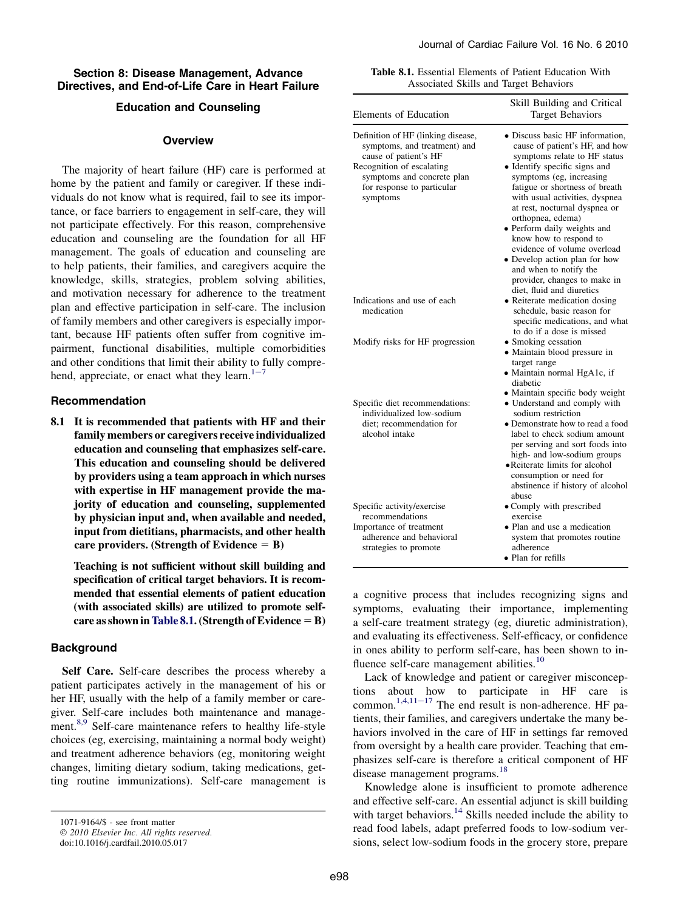## Section 8: Disease Management, Advance Directives, and End-of-Life Care in Heart Failure

# Education and Counseling

## **Overview**

The majority of heart failure (HF) care is performed at home by the patient and family or caregiver. If these individuals do not know what is required, fail to see its importance, or face barriers to engagement in self-care, they will not participate effectively. For this reason, comprehensive education and counseling are the foundation for all HF management. The goals of education and counseling are to help patients, their families, and caregivers acquire the knowledge, skills, strategies, problem solving abilities, and motivation necessary for adherence to the treatment plan and effective participation in self-care. The inclusion of family members and other caregivers is especially important, because HF patients often suffer from cognitive impairment, functional disabilities, multiple comorbidities and other conditions that limit their ability to fully compreh[e](#page-11-0)nd, appreciate, or enact what they learn. $1-7$ 

### Recommendation

8.1 It is recommended that patients with HF and their family members or caregivers receive individualized education and counseling that emphasizes self-care. This education and counseling should be delivered by providers using a team approach in which nurses with expertise in HF management provide the majority of education and counseling, supplemented by physician input and, when available and needed, input from dietitians, pharmacists, and other health care providers. (Strength of Evidence  $=$  B)

Teaching is not sufficient without skill building and specification of critical target behaviors. It is recommended that essential elements of patient education (with associated skills) are utilized to promote selfcare as shown in Table 8.1. (Strength of Evidence  $=$  B)

## **Background**

Self Care. Self-care describes the process whereby a patient participates actively in the management of his or her HF, usually with the help of a family member or caregiver. Self-care includes both maintenance and manage-ment.<sup>[8,9](#page-11-0)</sup> Self-care maintenance refers to healthy life-style choices (eg, exercising, maintaining a normal body weight) and treatment adherence behaviors (eg, monitoring weight changes, limiting dietary sodium, taking medications, getting routine immunizations). Self-care management is

1071-9164/\$ - see front matter

|  |                                        | <b>Table 8.1.</b> Essential Elements of Patient Education With |  |
|--|----------------------------------------|----------------------------------------------------------------|--|
|  | Associated Skills and Target Behaviors |                                                                |  |

| <b>Elements of Education</b>                                                                                                                                                                     | Skill Building and Critical<br><b>Target Behaviors</b>                                                                                                                                                                                                                                                                                                                                                                                                                                                   |
|--------------------------------------------------------------------------------------------------------------------------------------------------------------------------------------------------|----------------------------------------------------------------------------------------------------------------------------------------------------------------------------------------------------------------------------------------------------------------------------------------------------------------------------------------------------------------------------------------------------------------------------------------------------------------------------------------------------------|
| Definition of HF (linking disease,<br>symptoms, and treatment) and<br>cause of patient's HF<br>Recognition of escalating<br>symptoms and concrete plan<br>for response to particular<br>symptoms | • Discuss basic HF information,<br>cause of patient's HF, and how<br>symptoms relate to HF status<br>• Identify specific signs and<br>symptoms (eg, increasing<br>fatigue or shortness of breath<br>with usual activities, dyspnea<br>at rest, nocturnal dyspnea or<br>orthopnea, edema)<br>· Perform daily weights and<br>know how to respond to<br>evidence of volume overload<br>• Develop action plan for how<br>and when to notify the<br>provider, changes to make in<br>diet, fluid and diuretics |
| Indications and use of each<br>medication                                                                                                                                                        | • Reiterate medication dosing<br>schedule, basic reason for<br>specific medications, and what<br>to do if a dose is missed                                                                                                                                                                                                                                                                                                                                                                               |
| Modify risks for HF progression                                                                                                                                                                  | • Smoking cessation<br>· Maintain blood pressure in<br>target range<br>· Maintain normal HgA1c, if<br>diabetic<br>· Maintain specific body weight                                                                                                                                                                                                                                                                                                                                                        |
| Specific diet recommendations:<br>individualized low-sodium<br>diet: recommendation for<br>alcohol intake                                                                                        | · Understand and comply with<br>sodium restriction<br>• Demonstrate how to read a food<br>label to check sodium amount<br>per serving and sort foods into<br>high- and low-sodium groups<br>• Reiterate limits for alcohol<br>consumption or need for<br>abstinence if history of alcohol<br>abuse                                                                                                                                                                                                       |
| Specific activity/exercise<br>recommendations<br>Importance of treatment<br>adherence and behavioral<br>strategies to promote                                                                    | • Comply with prescribed<br>exercise<br>• Plan and use a medication<br>system that promotes routine<br>adherence<br>• Plan for refills                                                                                                                                                                                                                                                                                                                                                                   |

a cognitive process that includes recognizing signs and symptoms, evaluating their importance, implementing a self-care treatment strategy (eg, diuretic administration), and evaluating its effectiveness. Self-efficacy, or confidence in ones ability to perform self-care, has been shown to in-fluence self-care management abilities.<sup>[10](#page-11-0)</sup>

Lack of knowledge and patient or caregiver misconceptions about how to participate in HF care is  $c$ common.<sup>[1,4,11](#page-11-0)-17</sup> The end result is non-adherence. HF patients, their families, and caregivers undertake the many behaviors involved in the care of HF in settings far removed from oversight by a health care provider. Teaching that emphasizes self-care is therefore a critical component of HF disease management programs.<sup>[18](#page-11-0)</sup>

Knowledge alone is insufficient to promote adherence and effective self-care. An essential adjunct is skill building with target behaviors.<sup>[14](#page-11-0)</sup> Skills needed include the ability to read food labels, adapt preferred foods to low-sodium versions, select low-sodium foods in the grocery store, prepare

<sup>© 2010</sup> Elsevier Inc. All rights reserved.

doi:10.1016/j.cardfail.2010.05.017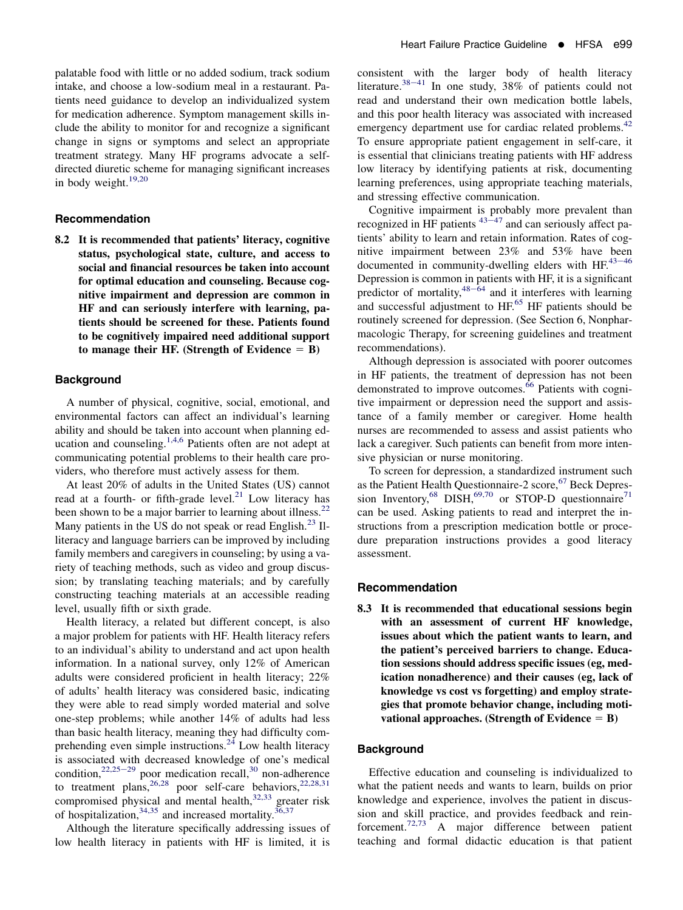palatable food with little or no added sodium, track sodium intake, and choose a low-sodium meal in a restaurant. Patients need guidance to develop an individualized system for medication adherence. Symptom management skills include the ability to monitor for and recognize a significant change in signs or symptoms and select an appropriate treatment strategy. Many HF programs advocate a selfdirected diuretic scheme for managing significant increases in body weight. $19,20$ 

### Recommendation

8.2 It is recommended that patients' literacy, cognitive status, psychological state, culture, and access to social and financial resources be taken into account for optimal education and counseling. Because cognitive impairment and depression are common in HF and can seriously interfere with learning, patients should be screened for these. Patients found to be cognitively impaired need additional support to manage their HF. (Strength of Evidence  $=$  B)

## **Background**

A number of physical, cognitive, social, emotional, and environmental factors can affect an individual's learning ability and should be taken into account when planning ed-ucation and counseling.<sup>[1,4,6](#page-11-0)</sup> Patients often are not adept at communicating potential problems to their health care providers, who therefore must actively assess for them.

At least 20% of adults in the United States (US) cannot read at a fourth- or fifth-grade level. $21$  Low literacy has been shown to be a major barrier to learning about illness.<sup>[22](#page-11-0)</sup> Many patients in the US do not speak or read English. $^{23}$  $^{23}$  $^{23}$  Illiteracy and language barriers can be improved by including family members and caregivers in counseling; by using a variety of teaching methods, such as video and group discussion; by translating teaching materials; and by carefully constructing teaching materials at an accessible reading level, usually fifth or sixth grade.

Health literacy, a related but different concept, is also a major problem for patients with HF. Health literacy refers to an individual's ability to understand and act upon health information. In a national survey, only 12% of American adults were considered proficient in health literacy; 22% of adults' health literacy was considered basic, indicating they were able to read simply worded material and solve one-step problems; while another 14% of adults had less than basic health literacy, meaning they had difficulty com-prehending even simple instructions.<sup>[24](#page-12-0)</sup> Low health literacy is associated with decreased knowledge of one's medical condition,<sup>[22,25](#page-11-0)-29</sup> poor medication recall,<sup>[30](#page-12-0)</sup> non-adherence to treatment plans,  $26,28$  poor self-care behaviors,  $22,28,31$ compromised physical and mental health,<sup>[32,33](#page-12-0)</sup> greater risk of hospitalization,  $34,35$  and increased mortality.  $36,37$ 

Although the literature specifically addressing issues of low health literacy in patients with HF is limited, it is consistent with the larger body of health literacy literature. $38-41$  $38-41$  In one study,  $38\%$  of patients could not read and understand their own medication bottle labels, and this poor health literacy was associated with increased emergency department use for cardiac related problems.<sup>[42](#page-12-0)</sup> To ensure appropriate patient engagement in self-care, it is essential that clinicians treating patients with HF address low literacy by identifying patients at risk, documenting learning preferences, using appropriate teaching materials, and stressing effective communication.

Cognitive impairment is probably more prevalent than recognized in HF patients  $43-47$  $43-47$  and can seriously affect patients' ability to learn and retain information. Rates of cognitive impairment between 23% and 53% have been documented in community-dwelling elders with  $HF^{43-46}$  $HF^{43-46}$  $HF^{43-46}$ Depression is common in patients with HF, it is a significant predictor of mortality, $48-64$  $48-64$  and it interferes with learning and successful adjustment to HF.<sup>[65](#page-13-0)</sup> HF patients should be routinely screened for depression. (See Section 6, Nonpharmacologic Therapy, for screening guidelines and treatment recommendations).

Although depression is associated with poorer outcomes in HF patients, the treatment of depression has not been demonstrated to improve outcomes.<sup>[66](#page-13-0)</sup> Patients with cognitive impairment or depression need the support and assistance of a family member or caregiver. Home health nurses are recommended to assess and assist patients who lack a caregiver. Such patients can benefit from more intensive physician or nurse monitoring.

To screen for depression, a standardized instrument such as the Patient Health Questionnaire-2 score,<sup>[67](#page-13-0)</sup> Beck Depression Inventory,  $^{68}$  $^{68}$  $^{68}$  DISH,  $^{69,70}$  $^{69,70}$  $^{69,70}$  or STOP-D questionnaire<sup>[71](#page-13-0)</sup> can be used. Asking patients to read and interpret the instructions from a prescription medication bottle or procedure preparation instructions provides a good literacy assessment.

#### Recommendation

8.3 It is recommended that educational sessions begin with an assessment of current HF knowledge, issues about which the patient wants to learn, and the patient's perceived barriers to change. Education sessions should address specific issues (eg, medication nonadherence) and their causes (eg, lack of knowledge vs cost vs forgetting) and employ strategies that promote behavior change, including motivational approaches. (Strength of Evidence  $=$  B)

### **Background**

Effective education and counseling is individualized to what the patient needs and wants to learn, builds on prior knowledge and experience, involves the patient in discussion and skill practice, and provides feedback and reinforcement. $72.73$ <sup>-</sup> A major difference between patient teaching and formal didactic education is that patient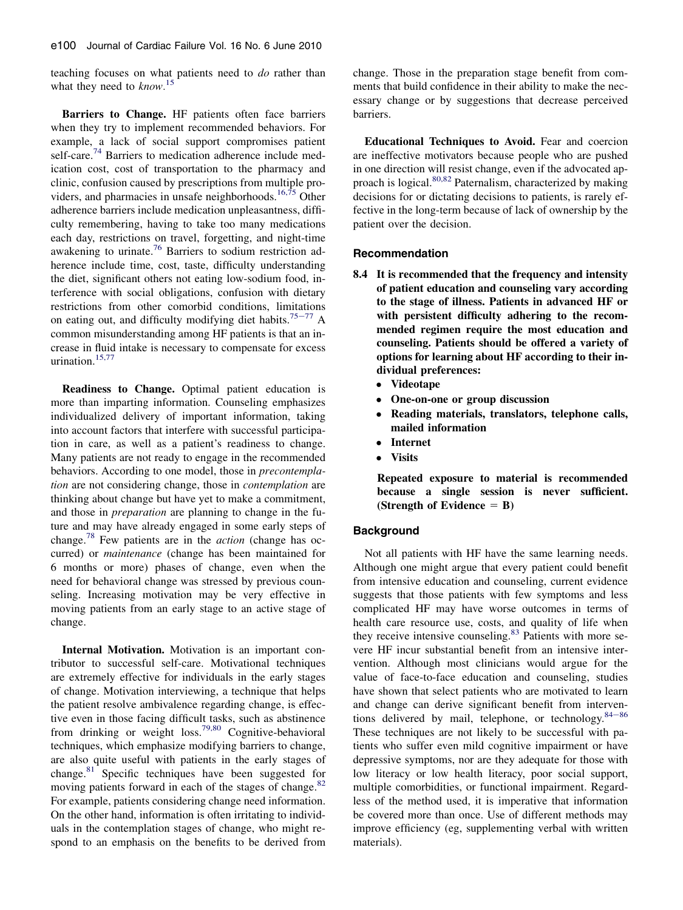teaching focuses on what patients need to do rather than what they need to  $known^{15}$  $known^{15}$  $known^{15}$ .

Barriers to Change. HF patients often face barriers when they try to implement recommended behaviors. For example, a lack of social support compromises patient self-care.<sup>[74](#page-13-0)</sup> Barriers to medication adherence include medication cost, cost of transportation to the pharmacy and clinic, confusion caused by prescriptions from multiple pro-viders, and pharmacies in unsafe neighborhoods.<sup>[16,75](#page-11-0)</sup> Other adherence barriers include medication unpleasantness, difficulty remembering, having to take too many medications each day, restrictions on travel, forgetting, and night-time awakening to urinate.[76](#page-13-0) Barriers to sodium restriction adherence include time, cost, taste, difficulty understanding the diet, significant others not eating low-sodium food, interference with social obligations, confusion with dietary restrictions from other comorbid conditions, limitations on eating out, and difficulty modifying diet habits.<sup>75-[77](#page-13-0)</sup> A common misunderstanding among HF patients is that an increase in fluid intake is necessary to compensate for excess urination.[15,77](#page-11-0)

Readiness to Change. Optimal patient education is more than imparting information. Counseling emphasizes individualized delivery of important information, taking into account factors that interfere with successful participation in care, as well as a patient's readiness to change. Many patients are not ready to engage in the recommended behaviors. According to one model, those in *precontempla*tion are not considering change, those in contemplation are thinking about change but have yet to make a commitment, and those in preparation are planning to change in the future and may have already engaged in some early steps of change.<sup>78</sup> Few patients are in the *action* (change has occurred) or maintenance (change has been maintained for 6 months or more) phases of change, even when the need for behavioral change was stressed by previous counseling. Increasing motivation may be very effective in moving patients from an early stage to an active stage of change.

Internal Motivation. Motivation is an important contributor to successful self-care. Motivational techniques are extremely effective for individuals in the early stages of change. Motivation interviewing, a technique that helps the patient resolve ambivalence regarding change, is effective even in those facing difficult tasks, such as abstinence from drinking or weight loss.[79,80](#page-13-0) Cognitive-behavioral techniques, which emphasize modifying barriers to change, are also quite useful with patients in the early stages of change. $81$  Specific techniques have been suggested for moving patients forward in each of the stages of change.<sup>[82](#page-13-0)</sup> For example, patients considering change need information. On the other hand, information is often irritating to individuals in the contemplation stages of change, who might respond to an emphasis on the benefits to be derived from

change. Those in the preparation stage benefit from comments that build confidence in their ability to make the necessary change or by suggestions that decrease perceived barriers.

Educational Techniques to Avoid. Fear and coercion are ineffective motivators because people who are pushed in one direction will resist change, even if the advocated approach is logical. $80,82$  Paternalism, characterized by making decisions for or dictating decisions to patients, is rarely effective in the long-term because of lack of ownership by the patient over the decision.

#### Recommendation

- 8.4 It is recommended that the frequency and intensity of patient education and counseling vary according to the stage of illness. Patients in advanced HF or with persistent difficulty adhering to the recommended regimen require the most education and counseling. Patients should be offered a variety of options for learning about HF according to their individual preferences:
	- Videotape
	- One-on-one or group discussion
	- Reading materials, translators, telephone calls, mailed information
	- $\bullet$ Internet
	- Visits

Repeated exposure to material is recommended because a single session is never sufficient. (Strength of Evidence  $=$  B)

### **Background**

Not all patients with HF have the same learning needs. Although one might argue that every patient could benefit from intensive education and counseling, current evidence suggests that those patients with few symptoms and less complicated HF may have worse outcomes in terms of health care resource use, costs, and quality of life when they receive intensive counseling.<sup>[83](#page-13-0)</sup> Patients with more severe HF incur substantial benefit from an intensive intervention. Although most clinicians would argue for the value of face-to-face education and counseling, studies have shown that select patients who are motivated to learn and change can derive significant benefit from interventions delivered by mail, telephone, or technology. $84-86$  $84-86$ These techniques are not likely to be successful with patients who suffer even mild cognitive impairment or have depressive symptoms, nor are they adequate for those with low literacy or low health literacy, poor social support, multiple comorbidities, or functional impairment. Regardless of the method used, it is imperative that information be covered more than once. Use of different methods may improve efficiency (eg, supplementing verbal with written materials).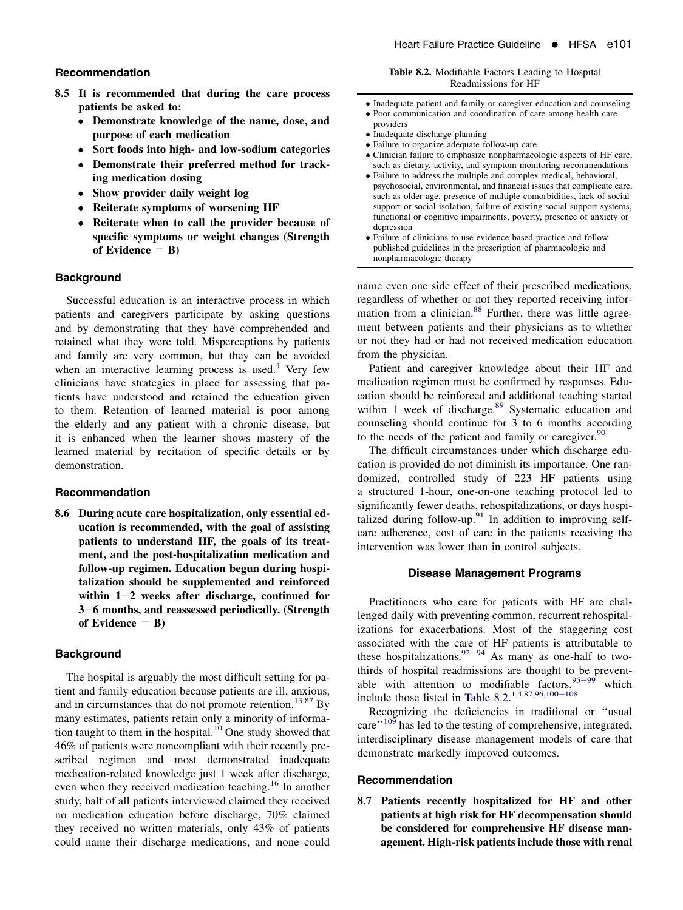## Recommendation

- 8.5 It is recommended that during the care process patients be asked to:
	- Demonstrate knowledge of the name, dose, and purpose of each medication
	- Sort foods into high- and low-sodium categories
	- $\bullet$  Demonstrate their preferred method for tracking medication dosing
	- Show provider daily weight log
	- $\bullet$ Reiterate symptoms of worsening HF
	- Reiterate when to call the provider because of specific symptoms or weight changes (Strength of Evidence  $=$  B)

# **Background**

Successful education is an interactive process in which patients and caregivers participate by asking questions and by demonstrating that they have comprehended and retained what they were told. Misperceptions by patients and family are very common, but they can be avoided when an interactive learning process is used.<sup>[4](#page-11-0)</sup> Very few clinicians have strategies in place for assessing that patients have understood and retained the education given to them. Retention of learned material is poor among the elderly and any patient with a chronic disease, but it is enhanced when the learner shows mastery of the learned material by recitation of specific details or by demonstration.

## Recommendation

8.6 During acute care hospitalization, only essential education is recommended, with the goal of assisting patients to understand HF, the goals of its treatment, and the post-hospitalization medication and follow-up regimen. Education begun during hospitalization should be supplemented and reinforced within  $1-2$  weeks after discharge, continued for 3–6 months, and reassessed periodically. (Strength of Evidence  $=$  B)

### **Background**

The hospital is arguably the most difficult setting for patient and family education because patients are ill, anxious, and in circumstances that do not promote retention.<sup>[13,87](#page-11-0)</sup> By many estimates, patients retain only a minority of information taught to them in the hospital. $10$  One study showed that 46% of patients were noncompliant with their recently prescribed regimen and most demonstrated inadequate medication-related knowledge just 1 week after discharge, even when they received medication teaching.<sup>[16](#page-11-0)</sup> In another study, half of all patients interviewed claimed they received no medication education before discharge, 70% claimed they received no written materials, only 43% of patients could name their discharge medications, and none could

#### Table 8.2. Modifiable Factors Leading to Hospital Readmissions for HF

- Inadequate patient and family or caregiver education and counseling
- Poor communication and coordination of care among health care providers
- Inadequate discharge planning
- Failure to organize adequate follow-up care
- Clinician failure to emphasize nonpharmacologic aspects of HF care, such as dietary, activity, and symptom monitoring recommendations
- Failure to address the multiple and complex medical, behavioral, psychosocial, environmental, and financial issues that complicate care, such as older age, presence of multiple comorbidities, lack of social support or social isolation, failure of existing social support systems, functional or cognitive impairments, poverty, presence of anxiety or depression
- Failure of clinicians to use evidence-based practice and follow published guidelines in the prescription of pharmacologic and nonpharmacologic therapy

name even one side effect of their prescribed medications, regardless of whether or not they reported receiving infor-mation from a clinician.<sup>[88](#page-13-0)</sup> Further, there was little agreement between patients and their physicians as to whether or not they had or had not received medication education from the physician.

Patient and caregiver knowledge about their HF and medication regimen must be confirmed by responses. Education should be reinforced and additional teaching started within 1 week of discharge. $89$  Systematic education and counseling should continue for 3 to 6 months according to the needs of the patient and family or caregiver.  $90$ 

The difficult circumstances under which discharge education is provided do not diminish its importance. One randomized, controlled study of 223 HF patients using a structured 1-hour, one-on-one teaching protocol led to significantly fewer deaths, rehospitalizations, or days hospitalized during follow-up. $91$  In addition to improving selfcare adherence, cost of care in the patients receiving the intervention was lower than in control subjects.

### Disease Management Programs

Practitioners who care for patients with HF are challenged daily with preventing common, recurrent rehospitalizations for exacerbations. Most of the staggering cost associated with the care of HF patients is attributable to these hospitalizations.<sup>[92](#page-13-0)–94</sup> As many as one-half to twothirds of hospital readmissions are thought to be preventable with attention to modifiable factors,  $95-99$  $95-99$  which include those listed in Table  $8.2.^{1,4,87,96,100-108}$  $8.2.^{1,4,87,96,100-108}$  $8.2.^{1,4,87,96,100-108}$ 

Recognizing the deficiencies in traditional or ''usual care"<sup>[109](#page-14-0)</sup> has led to the testing of comprehensive, integrated, interdisciplinary disease management models of care that demonstrate markedly improved outcomes.

### Recommendation

8.7 Patients recently hospitalized for HF and other patients at high risk for HF decompensation should be considered for comprehensive HF disease management. High-risk patients include those with renal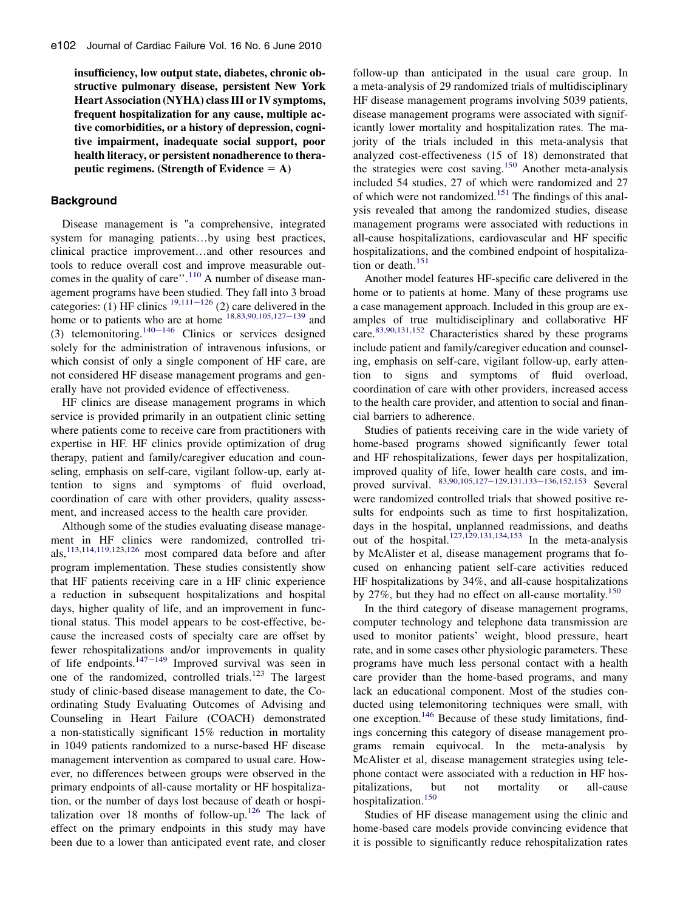insufficiency, low output state, diabetes, chronic obstructive pulmonary disease, persistent New York Heart Association (NYHA) class III or IV symptoms, frequent hospitalization for any cause, multiple active comorbidities, or a history of depression, cognitive impairment, inadequate social support, poor health literacy, or persistent nonadherence to therapeutic regimens. (Strength of Evidence  $= A$ )

# **Background**

Disease management is "a comprehensive, integrated system for managing patients...by using best practices, clinical practice improvement...and other resources and tools to reduce overall cost and improve measurable outcomes in the quality of care''.[110](#page-14-0) A number of disease management programs have been studied. They fall into 3 broad categories: (1) HF clinics  $19,111-126$  $19,111-126$  (2) care delivered in the home or to patients who are at home  $^{18,83,90,105,127-139}$  $^{18,83,90,105,127-139}$  $^{18,83,90,105,127-139}$  and (3) telemonitoring.<sup>[140](#page-14-0)-146</sup> Clinics or services designed solely for the administration of intravenous infusions, or which consist of only a single component of HF care, are not considered HF disease management programs and generally have not provided evidence of effectiveness.

HF clinics are disease management programs in which service is provided primarily in an outpatient clinic setting where patients come to receive care from practitioners with expertise in HF. HF clinics provide optimization of drug therapy, patient and family/caregiver education and counseling, emphasis on self-care, vigilant follow-up, early attention to signs and symptoms of fluid overload, coordination of care with other providers, quality assessment, and increased access to the health care provider.

Although some of the studies evaluating disease management in HF clinics were randomized, controlled trials,[113,114,119,123,126](#page-14-0) most compared data before and after program implementation. These studies consistently show that HF patients receiving care in a HF clinic experience a reduction in subsequent hospitalizations and hospital days, higher quality of life, and an improvement in functional status. This model appears to be cost-effective, because the increased costs of specialty care are offset by fewer rehospitalizations and/or improvements in quality of life endpoints.<sup>147-[149](#page-14-0)</sup> Improved survival was seen in one of the randomized, controlled trials.<sup>123</sup> The largest study of clinic-based disease management to date, the Coordinating Study Evaluating Outcomes of Advising and Counseling in Heart Failure (COACH) demonstrated a non-statistically significant 15% reduction in mortality in 1049 patients randomized to a nurse-based HF disease management intervention as compared to usual care. However, no differences between groups were observed in the primary endpoints of all-cause mortality or HF hospitalization, or the number of days lost because of death or hospi-talization over 18 months of follow-up.<sup>[126](#page-14-0)</sup> The lack of effect on the primary endpoints in this study may have been due to a lower than anticipated event rate, and closer follow-up than anticipated in the usual care group. In a meta-analysis of 29 randomized trials of multidisciplinary HF disease management programs involving 5039 patients, disease management programs were associated with significantly lower mortality and hospitalization rates. The majority of the trials included in this meta-analysis that analyzed cost-effectiveness (15 of 18) demonstrated that the strategies were cost saving.<sup>150</sup> Another meta-analysis included 54 studies, 27 of which were randomized and 27 of which were not randomized.<sup>[151](#page-15-0)</sup> The findings of this analysis revealed that among the randomized studies, disease management programs were associated with reductions in all-cause hospitalizations, cardiovascular and HF specific hospitalizations, and the combined endpoint of hospitalization or death. $151$ 

Another model features HF-specific care delivered in the home or to patients at home. Many of these programs use a case management approach. Included in this group are examples of true multidisciplinary and collaborative HF care.[83,90,131,152](#page-13-0) Characteristics shared by these programs include patient and family/caregiver education and counseling, emphasis on self-care, vigilant follow-up, early attention to signs and symptoms of fluid overload, coordination of care with other providers, increased access to the health care provider, and attention to social and financial barriers to adherence.

Studies of patients receiving care in the wide variety of home-based programs showed significantly fewer total and HF rehospitalizations, fewer days per hospitalization, improved quality [of life, lower health care costs,](#page-13-0) and improved survival. 83,90,105,127-129,131,133-136,152,153 Several were randomized controlled trials that showed positive results for endpoints such as time to first hospitalization, days in the hospital, unplanned readmissions, and deaths out of the hospital.<sup>[127,129,131,134,153](#page-14-0)</sup> In the meta-analysis by McAlister et al, disease management programs that focused on enhancing patient self-care activities reduced HF hospitalizations by 34%, and all-cause hospitalizations by 27%, but they had no effect on all-cause mortality.<sup>[150](#page-15-0)</sup>

In the third category of disease management programs, computer technology and telephone data transmission are used to monitor patients' weight, blood pressure, heart rate, and in some cases other physiologic parameters. These programs have much less personal contact with a health care provider than the home-based programs, and many lack an educational component. Most of the studies conducted using telemonitoring techniques were small, with one exception.<sup>[146](#page-14-0)</sup> Because of these study limitations, findings concerning this category of disease management programs remain equivocal. In the meta-analysis by McAlister et al, disease management strategies using telephone contact were associated with a reduction in HF hospitalizations, but not mortality or all-cause hospitalization.<sup>[150](#page-15-0)</sup>

Studies of HF disease management using the clinic and home-based care models provide convincing evidence that it is possible to significantly reduce rehospitalization rates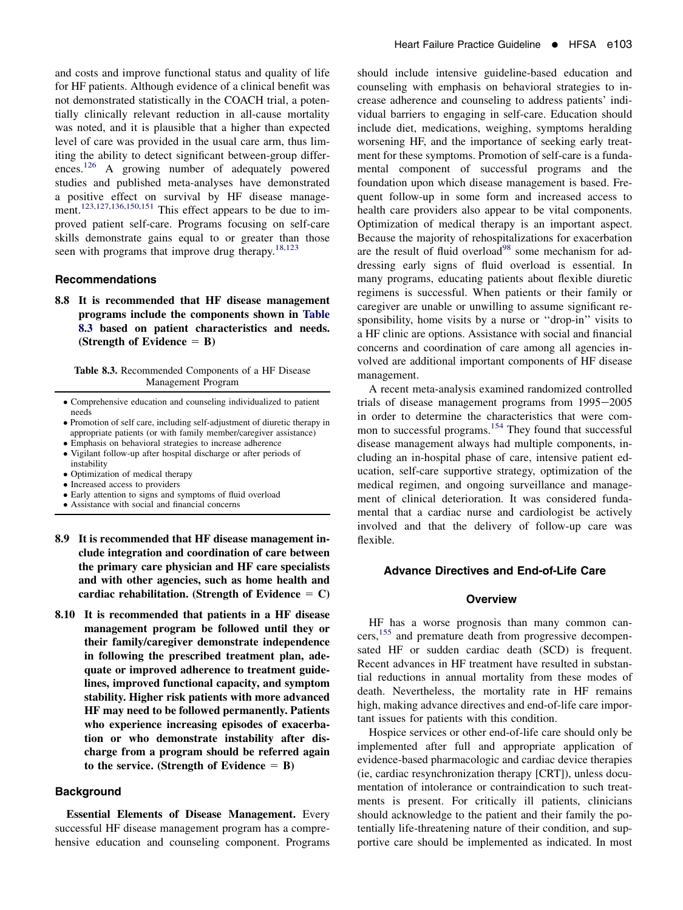and costs and improve functional status and quality of life for HF patients. Although evidence of a clinical benefit was not demonstrated statistically in the COACH trial, a potentially clinically relevant reduction in all-cause mortality was noted, and it is plausible that a higher than expected level of care was provided in the usual care arm, thus limiting the ability to detect significant between-group differences.[126](#page-14-0) A growing number of adequately powered studies and published meta-analyses have demonstrated a positive effect on survival by HF disease manage-ment.<sup>[123,127,136,150,151](#page-14-0)</sup> This effect appears to be due to improved patient self-care. Programs focusing on self-care skills demonstrate gains equal to or greater than those seen with programs that improve drug therapy.<sup>[18,123](#page-11-0)</sup>

## Recommendations

8.8 It is recommended that HF disease management programs include the components shown in Table 8.3 based on patient characteristics and needs. (Strength of Evidence  $=$  B)

Table 8.3. Recommended Components of a HF Disease Management Program

- Comprehensive education and counseling individualized to patient needs
- Promotion of self care, including self-adjustment of diuretic therapy in appropriate patients (or with family member/caregiver assistance)
- Emphasis on behavioral strategies to increase adherence
- Vigilant follow-up after hospital discharge or after periods of instability
- Optimization of medical therapy
- Increased access to providers
- Early attention to signs and symptoms of fluid overload
- Assistance with social and financial concerns
- 8.9 It is recommended that HF disease management include integration and coordination of care between the primary care physician and HF care specialists and with other agencies, such as home health and cardiac rehabilitation. (Strength of Evidence  $= C$ )
- 8.10 It is recommended that patients in a HF disease management program be followed until they or their family/caregiver demonstrate independence in following the prescribed treatment plan, adequate or improved adherence to treatment guidelines, improved functional capacity, and symptom stability. Higher risk patients with more advanced HF may need to be followed permanently. Patients who experience increasing episodes of exacerbation or who demonstrate instability after discharge from a program should be referred again to the service. (Strength of Evidence  $=$  B)

### **Background**

Essential Elements of Disease Management. Every successful HF disease management program has a comprehensive education and counseling component. Programs should include intensive guideline-based education and counseling with emphasis on behavioral strategies to increase adherence and counseling to address patients' individual barriers to engaging in self-care. Education should include diet, medications, weighing, symptoms heralding worsening HF, and the importance of seeking early treatment for these symptoms. Promotion of self-care is a fundamental component of successful programs and the foundation upon which disease management is based. Frequent follow-up in some form and increased access to health care providers also appear to be vital components. Optimization of medical therapy is an important aspect. Because the majority of rehospitalizations for exacerbation are the result of fluid overload<sup>[98](#page-13-0)</sup> some mechanism for addressing early signs of fluid overload is essential. In many programs, educating patients about flexible diuretic regimens is successful. When patients or their family or caregiver are unable or unwilling to assume significant responsibility, home visits by a nurse or ''drop-in'' visits to a HF clinic are options. Assistance with social and financial concerns and coordination of care among all agencies involved are additional important components of HF disease management.

A recent meta-analysis examined randomized controlled trials of disease management programs from  $1995-2005$ in order to determine the characteristics that were com-mon to successful programs.<sup>[154](#page-15-0)</sup> They found that successful disease management always had multiple components, including an in-hospital phase of care, intensive patient education, self-care supportive strategy, optimization of the medical regimen, and ongoing surveillance and management of clinical deterioration. It was considered fundamental that a cardiac nurse and cardiologist be actively involved and that the delivery of follow-up care was flexible.

### Advance Directives and End-of-Life Care

## **Overview**

HF has a worse prognosis than many common can-cers,<sup>[155](#page-15-0)</sup> and premature death from progressive decompensated HF or sudden cardiac death (SCD) is frequent. Recent advances in HF treatment have resulted in substantial reductions in annual mortality from these modes of death. Nevertheless, the mortality rate in HF remains high, making advance directives and end-of-life care important issues for patients with this condition.

Hospice services or other end-of-life care should only be implemented after full and appropriate application of evidence-based pharmacologic and cardiac device therapies (ie, cardiac resynchronization therapy [CRT]), unless documentation of intolerance or contraindication to such treatments is present. For critically ill patients, clinicians should acknowledge to the patient and their family the potentially life-threatening nature of their condition, and supportive care should be implemented as indicated. In most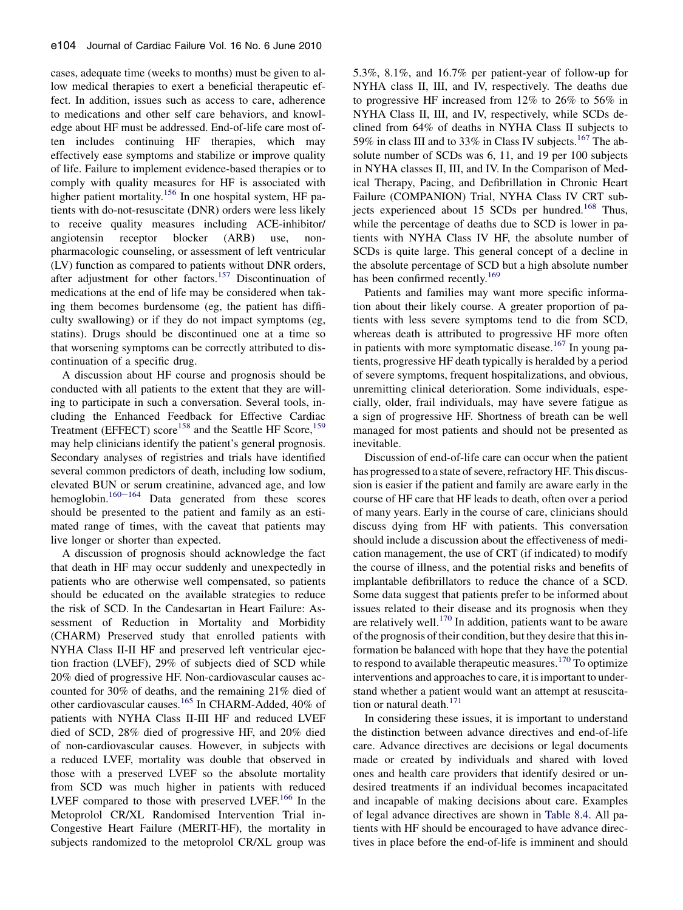cases, adequate time (weeks to months) must be given to allow medical therapies to exert a beneficial therapeutic effect. In addition, issues such as access to care, adherence to medications and other self care behaviors, and knowledge about HF must be addressed. End-of-life care most often includes continuing HF therapies, which may effectively ease symptoms and stabilize or improve quality of life. Failure to implement evidence-based therapies or to comply with quality measures for HF is associated with higher patient mortality.<sup>[156](#page-15-0)</sup> In one hospital system, HF patients with do-not-resuscitate (DNR) orders were less likely to receive quality measures including ACE-inhibitor/ angiotensin receptor blocker (ARB) use, nonpharmacologic counseling, or assessment of left ventricular (LV) function as compared to patients without DNR orders, after adjustment for other factors.[157](#page-15-0) Discontinuation of medications at the end of life may be considered when taking them becomes burdensome (eg, the patient has difficulty swallowing) or if they do not impact symptoms (eg, statins). Drugs should be discontinued one at a time so that worsening symptoms can be correctly attributed to discontinuation of a specific drug.

A discussion about HF course and prognosis should be conducted with all patients to the extent that they are willing to participate in such a conversation. Several tools, including the Enhanced Feedback for Effective Cardiac Treatment (EFFECT) score<sup>[158](#page-15-0)</sup> and the Seattle HF Score,<sup>159</sup> may help clinicians identify the patient's general prognosis. Secondary analyses of registries and trials have identified several common predictors of death, including low sodium, elevated BUN or serum creatinine, advanced age, and low hemoglobin.<sup>[160](#page-15-0)-164</sup> Data generated from these scores should be presented to the patient and family as an estimated range of times, with the caveat that patients may live longer or shorter than expected.

A discussion of prognosis should acknowledge the fact that death in HF may occur suddenly and unexpectedly in patients who are otherwise well compensated, so patients should be educated on the available strategies to reduce the risk of SCD. In the Candesartan in Heart Failure: Assessment of Reduction in Mortality and Morbidity (CHARM) Preserved study that enrolled patients with NYHA Class II-II HF and preserved left ventricular ejection fraction (LVEF), 29% of subjects died of SCD while 20% died of progressive HF. Non-cardiovascular causes accounted for 30% of deaths, and the remaining 21% died of other cardiovascular causes.[165](#page-15-0) In CHARM-Added, 40% of patients with NYHA Class II-III HF and reduced LVEF died of SCD, 28% died of progressive HF, and 20% died of non-cardiovascular causes. However, in subjects with a reduced LVEF, mortality was double that observed in those with a preserved LVEF so the absolute mortality from SCD was much higher in patients with reduced LVEF compared to those with preserved LVEF. $^{166}$  $^{166}$  $^{166}$  In the Metoprolol CR/XL Randomised Intervention Trial in-Congestive Heart Failure (MERIT-HF), the mortality in subjects randomized to the metoprolol CR/XL group was

5.3%, 8.1%, and 16.7% per patient-year of follow-up for NYHA class II, III, and IV, respectively. The deaths due to progressive HF increased from 12% to 26% to 56% in NYHA Class II, III, and IV, respectively, while SCDs declined from 64% of deaths in NYHA Class II subjects to 59% in class III and to 33% in Class IV subjects.<sup>[167](#page-15-0)</sup> The absolute number of SCDs was 6, 11, and 19 per 100 subjects in NYHA classes II, III, and IV. In the Comparison of Medical Therapy, Pacing, and Defibrillation in Chronic Heart Failure (COMPANION) Trial, NYHA Class IV CRT sub-jects experienced about 15 SCDs per hundred.<sup>[168](#page-15-0)</sup> Thus, while the percentage of deaths due to SCD is lower in patients with NYHA Class IV HF, the absolute number of SCDs is quite large. This general concept of a decline in the absolute percentage of SCD but a high absolute number has been confirmed recently.<sup>[169](#page-15-0)</sup>

Patients and families may want more specific information about their likely course. A greater proportion of patients with less severe symptoms tend to die from SCD, whereas death is attributed to progressive HF more often in patients with more symptomatic disease.<sup>[167](#page-15-0)</sup> In young patients, progressive HF death typically is heralded by a period of severe symptoms, frequent hospitalizations, and obvious, unremitting clinical deterioration. Some individuals, especially, older, frail individuals, may have severe fatigue as a sign of progressive HF. Shortness of breath can be well managed for most patients and should not be presented as inevitable.

Discussion of end-of-life care can occur when the patient has progressed to a state of severe, refractory HF. This discussion is easier if the patient and family are aware early in the course of HF care that HF leads to death, often over a period of many years. Early in the course of care, clinicians should discuss dying from HF with patients. This conversation should include a discussion about the effectiveness of medication management, the use of CRT (if indicated) to modify the course of illness, and the potential risks and benefits of implantable defibrillators to reduce the chance of a SCD. Some data suggest that patients prefer to be informed about issues related to their disease and its prognosis when they are relatively well.<sup>[170](#page-15-0)</sup> In addition, patients want to be aware of the prognosis of their condition, but they desire that this information be balanced with hope that they have the potential to respond to available therapeutic measures. $170$  To optimize interventions and approaches to care, it is important to understand whether a patient would want an attempt at resuscita-tion or natural death.<sup>[171](#page-15-0)</sup>

In considering these issues, it is important to understand the distinction between advance directives and end-of-life care. Advance directives are decisions or legal documents made or created by individuals and shared with loved ones and health care providers that identify desired or undesired treatments if an individual becomes incapacitated and incapable of making decisions about care. Examples of legal advance directives are shown in [Table 8.4.](#page-7-0) All patients with HF should be encouraged to have advance directives in place before the end-of-life is imminent and should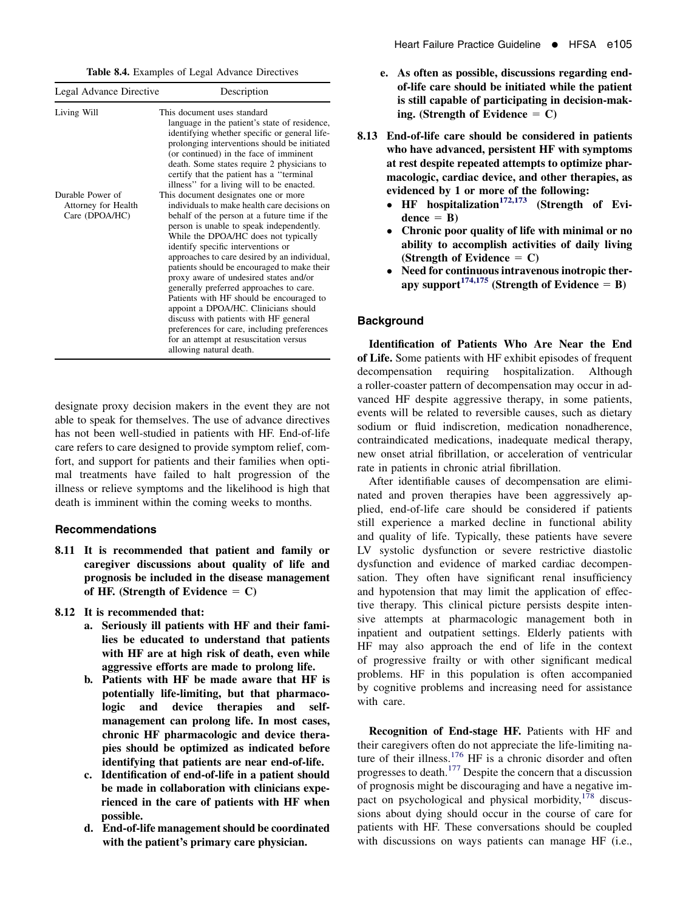Table 8.4. Examples of Legal Advance Directives

<span id="page-7-0"></span>

| Legal Advance Directive                                   | Description                                                                                                                                                                                                                                                                                                                                                                                                                                                                                                                                                                                                                                                                                         |  |  |
|-----------------------------------------------------------|-----------------------------------------------------------------------------------------------------------------------------------------------------------------------------------------------------------------------------------------------------------------------------------------------------------------------------------------------------------------------------------------------------------------------------------------------------------------------------------------------------------------------------------------------------------------------------------------------------------------------------------------------------------------------------------------------------|--|--|
| Living Will                                               | This document uses standard<br>language in the patient's state of residence,<br>identifying whether specific or general life-<br>prolonging interventions should be initiated<br>(or continued) in the face of imminent<br>death. Some states require 2 physicians to<br>certify that the patient has a "terminal"<br>illness" for a living will to be enacted.                                                                                                                                                                                                                                                                                                                                     |  |  |
| Durable Power of<br>Attorney for Health<br>Care (DPOA/HC) | This document designates one or more<br>individuals to make health care decisions on<br>behalf of the person at a future time if the<br>person is unable to speak independently.<br>While the DPOA/HC does not typically<br>identify specific interventions or<br>approaches to care desired by an individual,<br>patients should be encouraged to make their<br>proxy aware of undesired states and/or<br>generally preferred approaches to care.<br>Patients with HF should be encouraged to<br>appoint a DPOA/HC. Clinicians should<br>discuss with patients with HF general<br>preferences for care, including preferences<br>for an attempt at resuscitation versus<br>allowing natural death. |  |  |

designate proxy decision makers in the event they are not able to speak for themselves. The use of advance directives has not been well-studied in patients with HF. End-of-life care refers to care designed to provide symptom relief, comfort, and support for patients and their families when optimal treatments have failed to halt progression of the illness or relieve symptoms and the likelihood is high that death is imminent within the coming weeks to months.

### Recommendations

- 8.11 It is recommended that patient and family or caregiver discussions about quality of life and prognosis be included in the disease management of HF. (Strength of Evidence  $= C$ )
- 8.12 It is recommended that:
	- a. Seriously ill patients with HF and their families be educated to understand that patients with HF are at high risk of death, even while aggressive efforts are made to prolong life.
	- b. Patients with HF be made aware that HF is potentially life-limiting, but that pharmacologic and device therapies and selfmanagement can prolong life. In most cases, chronic HF pharmacologic and device therapies should be optimized as indicated before identifying that patients are near end-of-life.
	- c. Identification of end-of-life in a patient should be made in collaboration with clinicians experienced in the care of patients with HF when possible.
	- d. End-of-life management should be coordinated with the patient's primary care physician.
- e. As often as possible, discussions regarding endof-life care should be initiated while the patient is still capable of participating in decision-making. (Strength of Evidence  $= C$ )
- 8.13 End-of-life care should be considered in patients who have advanced, persistent HF with symptoms at rest despite repeated attempts to optimize pharmacologic, cardiac device, and other therapies, as evidenced by 1 or more of the following:
	- $\bullet$  HF hospitalization<sup>[172,173](#page-15-0)</sup> (Strength of Evi $dence = B$ )
	- $\bullet$  Chronic poor quality of life with minimal or no ability to accomplish activities of daily living (Strength of Evidence  $= C$ )
	- Need for continuous intravenous inotropic ther-apy support<sup>[174,175](#page-15-0)</sup> (Strength of Evidence = B)

## **Background**

Identification of Patients Who Are Near the End of Life. Some patients with HF exhibit episodes of frequent decompensation requiring hospitalization. Although a roller-coaster pattern of decompensation may occur in advanced HF despite aggressive therapy, in some patients, events will be related to reversible causes, such as dietary sodium or fluid indiscretion, medication nonadherence, contraindicated medications, inadequate medical therapy, new onset atrial fibrillation, or acceleration of ventricular rate in patients in chronic atrial fibrillation.

After identifiable causes of decompensation are eliminated and proven therapies have been aggressively applied, end-of-life care should be considered if patients still experience a marked decline in functional ability and quality of life. Typically, these patients have severe LV systolic dysfunction or severe restrictive diastolic dysfunction and evidence of marked cardiac decompensation. They often have significant renal insufficiency and hypotension that may limit the application of effective therapy. This clinical picture persists despite intensive attempts at pharmacologic management both in inpatient and outpatient settings. Elderly patients with HF may also approach the end of life in the context of progressive frailty or with other significant medical problems. HF in this population is often accompanied by cognitive problems and increasing need for assistance with care.

Recognition of End-stage HF. Patients with HF and their caregivers often do not appreciate the life-limiting na-ture of their illness.<sup>[176](#page-15-0)</sup> HF is a chronic disorder and often progresses to death.<sup>[177](#page-15-0)</sup> Despite the concern that a discussion of prognosis might be discouraging and have a negative impact on psychological and physical morbidity, $178$  discussions about dying should occur in the course of care for patients with HF. These conversations should be coupled with discussions on ways patients can manage HF (i.e.,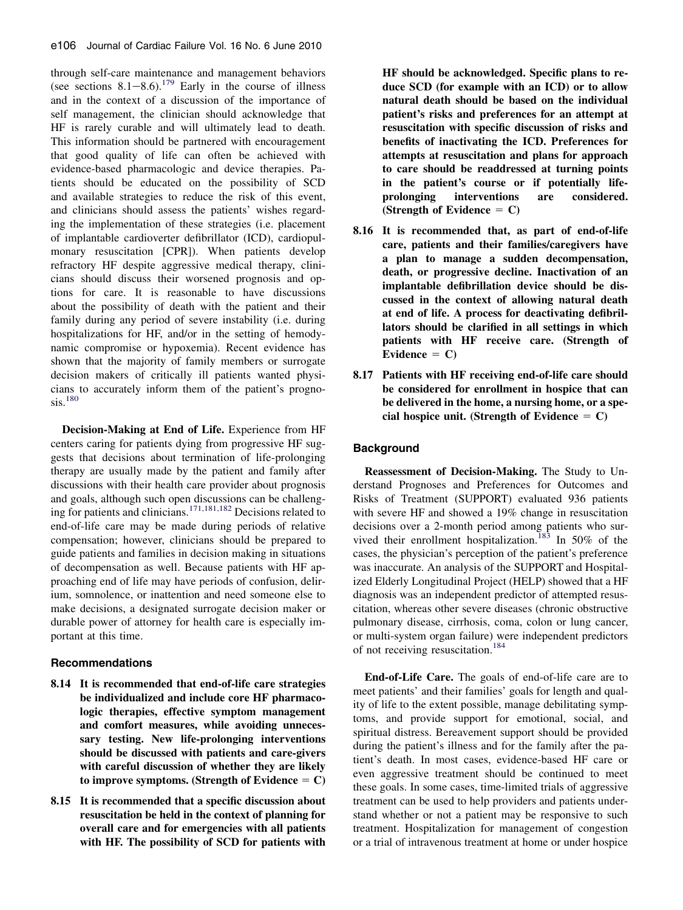through self-care maintenance and management behaviors (see sections  $8.1-8.6$ ).<sup>[179](#page-15-0)</sup> Early in the course of illness and in the context of a discussion of the importance of self management, the clinician should acknowledge that HF is rarely curable and will ultimately lead to death. This information should be partnered with encouragement that good quality of life can often be achieved with evidence-based pharmacologic and device therapies. Patients should be educated on the possibility of SCD and available strategies to reduce the risk of this event, and clinicians should assess the patients' wishes regarding the implementation of these strategies (i.e. placement of implantable cardioverter defibrillator (ICD), cardiopulmonary resuscitation [CPR]). When patients develop refractory HF despite aggressive medical therapy, clinicians should discuss their worsened prognosis and options for care. It is reasonable to have discussions about the possibility of death with the patient and their family during any period of severe instability (i.e. during hospitalizations for HF, and/or in the setting of hemodynamic compromise or hypoxemia). Recent evidence has shown that the majority of family members or surrogate decision makers of critically ill patients wanted physicians to accurately inform them of the patient's progno $sis.$ <sup>[180](#page-15-0)</sup>

Decision-Making at End of Life. Experience from HF centers caring for patients dying from progressive HF suggests that decisions about termination of life-prolonging therapy are usually made by the patient and family after discussions with their health care provider about prognosis and goals, although such open discussions can be challenging for patients and clinicians.[171,181,182](#page-15-0) Decisions related to end-of-life care may be made during periods of relative compensation; however, clinicians should be prepared to guide patients and families in decision making in situations of decompensation as well. Because patients with HF approaching end of life may have periods of confusion, delirium, somnolence, or inattention and need someone else to make decisions, a designated surrogate decision maker or durable power of attorney for health care is especially important at this time.

## Recommendations

- 8.14 It is recommended that end-of-life care strategies be individualized and include core HF pharmacologic therapies, effective symptom management and comfort measures, while avoiding unnecessary testing. New life-prolonging interventions should be discussed with patients and care-givers with careful discussion of whether they are likely to improve symptoms. (Strength of Evidence  $= C$ )
- 8.15 It is recommended that a specific discussion about resuscitation be held in the context of planning for overall care and for emergencies with all patients with HF. The possibility of SCD for patients with

HF should be acknowledged. Specific plans to reduce SCD (for example with an ICD) or to allow natural death should be based on the individual patient's risks and preferences for an attempt at resuscitation with specific discussion of risks and benefits of inactivating the ICD. Preferences for attempts at resuscitation and plans for approach to care should be readdressed at turning points in the patient's course or if potentially lifeprolonging interventions are considered. (Strength of Evidence  $= C$ )

- 8.16 It is recommended that, as part of end-of-life care, patients and their families/caregivers have a plan to manage a sudden decompensation, death, or progressive decline. Inactivation of an implantable defibrillation device should be discussed in the context of allowing natural death at end of life. A process for deactivating defibrillators should be clarified in all settings in which patients with HF receive care. (Strength of Evidence  $= C$ )
- 8.17 Patients with HF receiving end-of-life care should be considered for enrollment in hospice that can be delivered in the home, a nursing home, or a special hospice unit. (Strength of Evidence  $= C$ )

## Background

Reassessment of Decision-Making. The Study to Understand Prognoses and Preferences for Outcomes and Risks of Treatment (SUPPORT) evaluated 936 patients with severe HF and showed a 19% change in resuscitation decisions over a 2-month period among patients who sur-vived their enrollment hospitalization.<sup>[183](#page-15-0)</sup> In 50% of the cases, the physician's perception of the patient's preference was inaccurate. An analysis of the SUPPORT and Hospitalized Elderly Longitudinal Project (HELP) showed that a HF diagnosis was an independent predictor of attempted resuscitation, whereas other severe diseases (chronic obstructive pulmonary disease, cirrhosis, coma, colon or lung cancer, or multi-system organ failure) were independent predictors of not receiving resuscitation.<sup>[184](#page-16-0)</sup>

End-of-Life Care. The goals of end-of-life care are to meet patients' and their families' goals for length and quality of life to the extent possible, manage debilitating symptoms, and provide support for emotional, social, and spiritual distress. Bereavement support should be provided during the patient's illness and for the family after the patient's death. In most cases, evidence-based HF care or even aggressive treatment should be continued to meet these goals. In some cases, time-limited trials of aggressive treatment can be used to help providers and patients understand whether or not a patient may be responsive to such treatment. Hospitalization for management of congestion or a trial of intravenous treatment at home or under hospice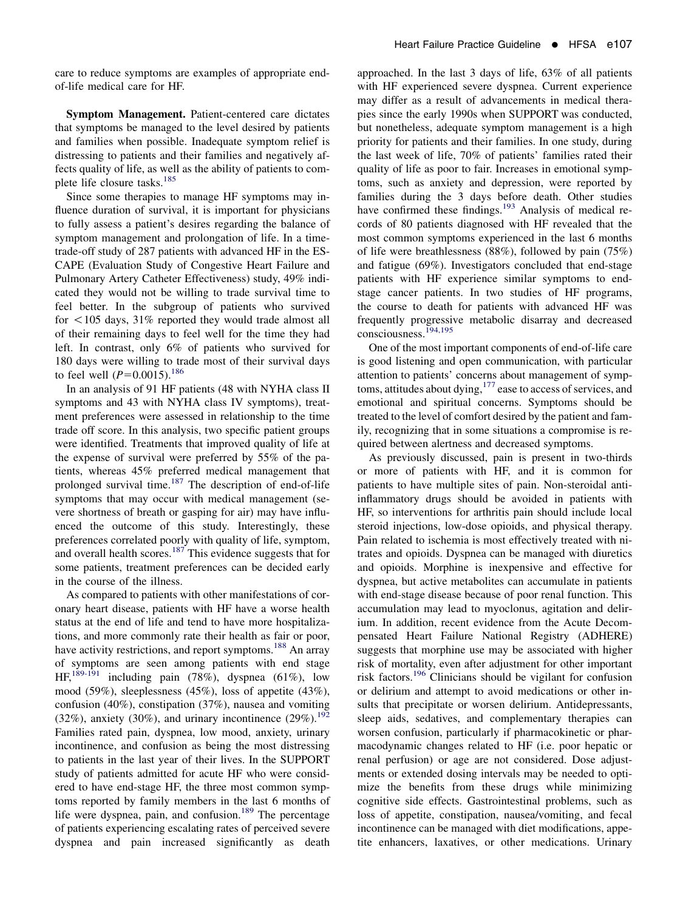care to reduce symptoms are examples of appropriate endof-life medical care for HF.

Symptom Management. Patient-centered care dictates that symptoms be managed to the level desired by patients and families when possible. Inadequate symptom relief is distressing to patients and their families and negatively affects quality of life, as well as the ability of patients to complete life closure tasks.[185](#page-16-0)

Since some therapies to manage HF symptoms may influence duration of survival, it is important for physicians to fully assess a patient's desires regarding the balance of symptom management and prolongation of life. In a timetrade-off study of 287 patients with advanced HF in the ES-CAPE (Evaluation Study of Congestive Heart Failure and Pulmonary Artery Catheter Effectiveness) study, 49% indicated they would not be willing to trade survival time to feel better. In the subgroup of patients who survived for  $\langle 105 \text{ days}, 31\%$  reported they would trade almost all of their remaining days to feel well for the time they had left. In contrast, only 6% of patients who survived for 180 days were willing to trade most of their survival days to feel well  $(P=0.0015)$ .<sup>[186](#page-16-0)</sup>

In an analysis of 91 HF patients (48 with NYHA class II symptoms and 43 with NYHA class IV symptoms), treatment preferences were assessed in relationship to the time trade off score. In this analysis, two specific patient groups were identified. Treatments that improved quality of life at the expense of survival were preferred by 55% of the patients, whereas 45% preferred medical management that prolonged survival time.[187](#page-16-0) The description of end-of-life symptoms that may occur with medical management (severe shortness of breath or gasping for air) may have influenced the outcome of this study. Interestingly, these preferences correlated poorly with quality of life, symptom, and overall health scores. $187$  This evidence suggests that for some patients, treatment preferences can be decided early in the course of the illness.

As compared to patients with other manifestations of coronary heart disease, patients with HF have a worse health status at the end of life and tend to have more hospitalizations, and more commonly rate their health as fair or poor, have activity restrictions, and report symptoms.<sup>[188](#page-16-0)</sup> An array of symptoms are seen among patients with end stage HF,<sup>189-191</sup> including pain (78%), dyspnea (61%), low mood (59%), sleeplessness (45%), loss of appetite (43%), confusion (40%), constipation (37%), nausea and vomiting (32%), anxiety (30%), and urinary incontinence  $(29\%)$ .<sup>[192](#page-16-0)</sup> Families rated pain, dyspnea, low mood, anxiety, urinary incontinence, and confusion as being the most distressing to patients in the last year of their lives. In the SUPPORT study of patients admitted for acute HF who were considered to have end-stage HF, the three most common symptoms reported by family members in the last 6 months of life were dyspnea, pain, and confusion.<sup>[189](#page-16-0)</sup> The percentage of patients experiencing escalating rates of perceived severe dyspnea and pain increased significantly as death approached. In the last 3 days of life, 63% of all patients with HF experienced severe dyspnea. Current experience may differ as a result of advancements in medical therapies since the early 1990s when SUPPORT was conducted, but nonetheless, adequate symptom management is a high priority for patients and their families. In one study, during the last week of life, 70% of patients' families rated their quality of life as poor to fair. Increases in emotional symptoms, such as anxiety and depression, were reported by families during the 3 days before death. Other studies have confirmed these findings.<sup>[193](#page-16-0)</sup> Analysis of medical records of 80 patients diagnosed with HF revealed that the most common symptoms experienced in the last 6 months of life were breathlessness (88%), followed by pain (75%) and fatigue (69%). Investigators concluded that end-stage patients with HF experience similar symptoms to endstage cancer patients. In two studies of HF programs, the course to death for patients with advanced HF was frequently progressive metabolic disarray and decreased consciousness.[194,195](#page-16-0)

One of the most important components of end-of-life care is good listening and open communication, with particular attention to patients' concerns about management of symptoms, attitudes about dying, $177$  ease to access of services, and emotional and spiritual concerns. Symptoms should be treated to the level of comfort desired by the patient and family, recognizing that in some situations a compromise is required between alertness and decreased symptoms.

As previously discussed, pain is present in two-thirds or more of patients with HF, and it is common for patients to have multiple sites of pain. Non-steroidal antiinflammatory drugs should be avoided in patients with HF, so interventions for arthritis pain should include local steroid injections, low-dose opioids, and physical therapy. Pain related to ischemia is most effectively treated with nitrates and opioids. Dyspnea can be managed with diuretics and opioids. Morphine is inexpensive and effective for dyspnea, but active metabolites can accumulate in patients with end-stage disease because of poor renal function. This accumulation may lead to myoclonus, agitation and delirium. In addition, recent evidence from the Acute Decompensated Heart Failure National Registry (ADHERE) suggests that morphine use may be associated with higher risk of mortality, even after adjustment for other important risk factors.[196](#page-16-0) Clinicians should be vigilant for confusion or delirium and attempt to avoid medications or other insults that precipitate or worsen delirium. Antidepressants, sleep aids, sedatives, and complementary therapies can worsen confusion, particularly if pharmacokinetic or pharmacodynamic changes related to HF (i.e. poor hepatic or renal perfusion) or age are not considered. Dose adjustments or extended dosing intervals may be needed to optimize the benefits from these drugs while minimizing cognitive side effects. Gastrointestinal problems, such as loss of appetite, constipation, nausea/vomiting, and fecal incontinence can be managed with diet modifications, appetite enhancers, laxatives, or other medications. Urinary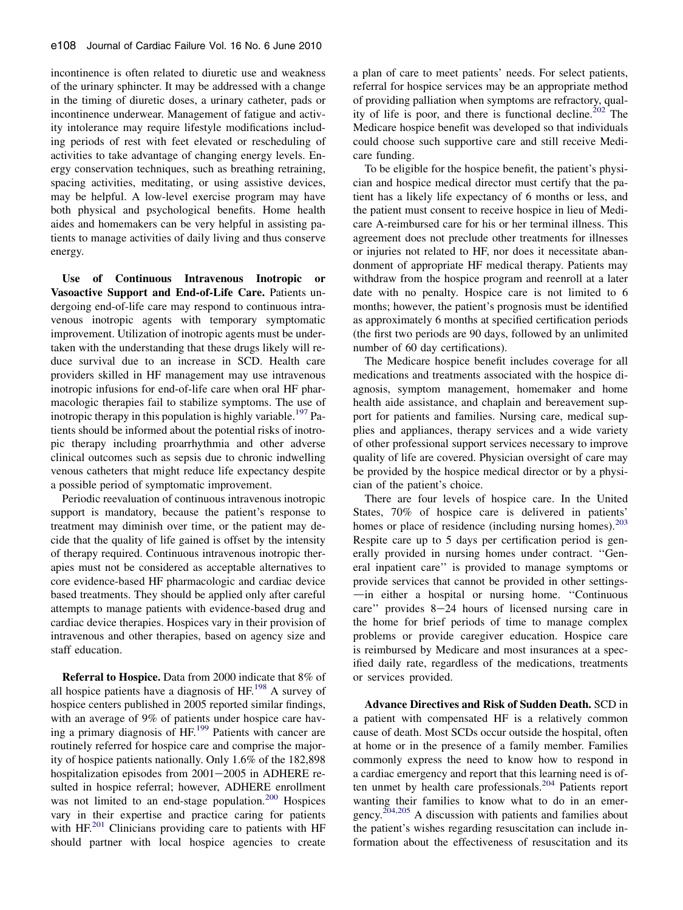incontinence is often related to diuretic use and weakness of the urinary sphincter. It may be addressed with a change in the timing of diuretic doses, a urinary catheter, pads or incontinence underwear. Management of fatigue and activity intolerance may require lifestyle modifications including periods of rest with feet elevated or rescheduling of activities to take advantage of changing energy levels. Energy conservation techniques, such as breathing retraining, spacing activities, meditating, or using assistive devices, may be helpful. A low-level exercise program may have both physical and psychological benefits. Home health aides and homemakers can be very helpful in assisting patients to manage activities of daily living and thus conserve energy.

Use of Continuous Intravenous Inotropic or Vasoactive Support and End-of-Life Care. Patients undergoing end-of-life care may respond to continuous intravenous inotropic agents with temporary symptomatic improvement. Utilization of inotropic agents must be undertaken with the understanding that these drugs likely will reduce survival due to an increase in SCD. Health care providers skilled in HF management may use intravenous inotropic infusions for end-of-life care when oral HF pharmacologic therapies fail to stabilize symptoms. The use of inotropic therapy in this population is highly variable.<sup>[197](#page-16-0)</sup> Patients should be informed about the potential risks of inotropic therapy including proarrhythmia and other adverse clinical outcomes such as sepsis due to chronic indwelling venous catheters that might reduce life expectancy despite a possible period of symptomatic improvement.

Periodic reevaluation of continuous intravenous inotropic support is mandatory, because the patient's response to treatment may diminish over time, or the patient may decide that the quality of life gained is offset by the intensity of therapy required. Continuous intravenous inotropic therapies must not be considered as acceptable alternatives to core evidence-based HF pharmacologic and cardiac device based treatments. They should be applied only after careful attempts to manage patients with evidence-based drug and cardiac device therapies. Hospices vary in their provision of intravenous and other therapies, based on agency size and staff education.

Referral to Hospice. Data from 2000 indicate that 8% of all hospice patients have a diagnosis of  $HF<sup>198</sup>$  $HF<sup>198</sup>$  $HF<sup>198</sup>$  A survey of hospice centers published in 2005 reported similar findings, with an average of 9% of patients under hospice care hav-ing a primary diagnosis of HF.<sup>[199](#page-16-0)</sup> Patients with cancer are routinely referred for hospice care and comprise the majority of hospice patients nationally. Only 1.6% of the 182,898 hospitalization episodes from  $2001-2005$  in ADHERE resulted in hospice referral; however, ADHERE enrollment was not limited to an end-stage population.<sup>[200](#page-16-0)</sup> Hospices vary in their expertise and practice caring for patients with HF.<sup>[201](#page-16-0)</sup> Clinicians providing care to patients with HF should partner with local hospice agencies to create

a plan of care to meet patients' needs. For select patients, referral for hospice services may be an appropriate method of providing palliation when symptoms are refractory, qual-ity of life is poor, and there is functional decline.<sup>[202](#page-16-0)</sup> The Medicare hospice benefit was developed so that individuals could choose such supportive care and still receive Medicare funding.

To be eligible for the hospice benefit, the patient's physician and hospice medical director must certify that the patient has a likely life expectancy of 6 months or less, and the patient must consent to receive hospice in lieu of Medicare A-reimbursed care for his or her terminal illness. This agreement does not preclude other treatments for illnesses or injuries not related to HF, nor does it necessitate abandonment of appropriate HF medical therapy. Patients may withdraw from the hospice program and reenroll at a later date with no penalty. Hospice care is not limited to 6 months; however, the patient's prognosis must be identified as approximately 6 months at specified certification periods (the first two periods are 90 days, followed by an unlimited number of 60 day certifications).

The Medicare hospice benefit includes coverage for all medications and treatments associated with the hospice diagnosis, symptom management, homemaker and home health aide assistance, and chaplain and bereavement support for patients and families. Nursing care, medical supplies and appliances, therapy services and a wide variety of other professional support services necessary to improve quality of life are covered. Physician oversight of care may be provided by the hospice medical director or by a physician of the patient's choice.

There are four levels of hospice care. In the United States, 70% of hospice care is delivered in patients' homes or place of residence (including nursing homes).<sup>[203](#page-16-0)</sup> Respite care up to 5 days per certification period is generally provided in nursing homes under contract. ''General inpatient care'' is provided to manage symptoms or provide services that cannot be provided in other settings- $\frac{d}{dx}$  in either a hospital or nursing home. "Continuous care" provides  $8-24$  hours of licensed nursing care in the home for brief periods of time to manage complex problems or provide caregiver education. Hospice care is reimbursed by Medicare and most insurances at a specified daily rate, regardless of the medications, treatments or services provided.

Advance Directives and Risk of Sudden Death. SCD in a patient with compensated HF is a relatively common cause of death. Most SCDs occur outside the hospital, often at home or in the presence of a family member. Families commonly express the need to know how to respond in a cardiac emergency and report that this learning need is often unmet by health care professionals.[204](#page-16-0) Patients report wanting their families to know what to do in an emergency. $204,205$  A discussion with patients and families about the patient's wishes regarding resuscitation can include information about the effectiveness of resuscitation and its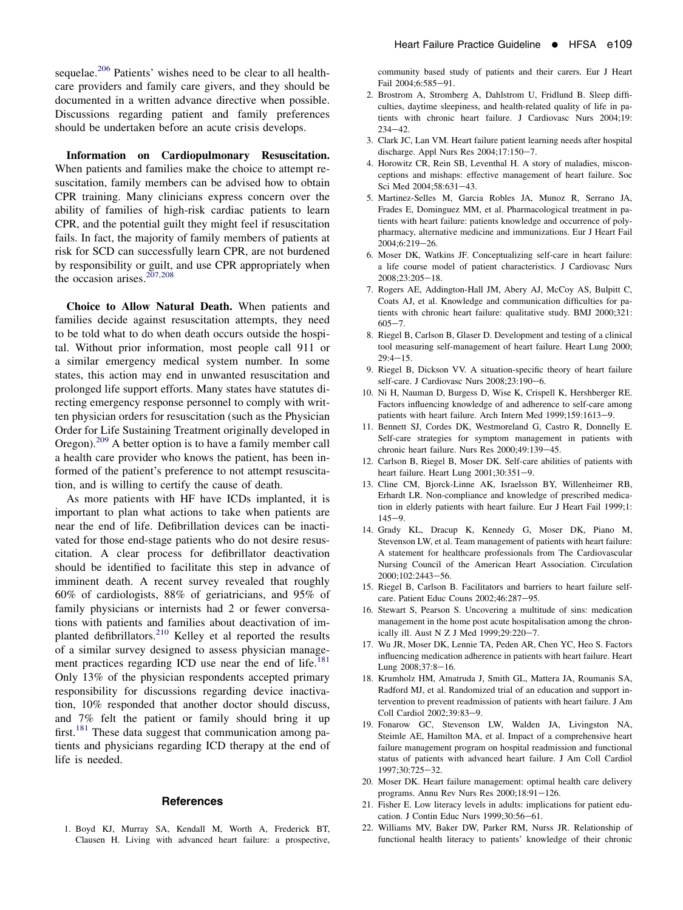<span id="page-11-0"></span>sequelae.<sup>[206](#page-16-0)</sup> Patients' wishes need to be clear to all healthcare providers and family care givers, and they should be documented in a written advance directive when possible. Discussions regarding patient and family preferences should be undertaken before an acute crisis develops.

Information on Cardiopulmonary Resuscitation. When patients and families make the choice to attempt resuscitation, family members can be advised how to obtain CPR training. Many clinicians express concern over the ability of families of high-risk cardiac patients to learn CPR, and the potential guilt they might feel if resuscitation fails. In fact, the majority of family members of patients at risk for SCD can successfully learn CPR, are not burdened by responsibility or guilt, and use CPR appropriately when the occasion arises.<sup>[207,208](#page-16-0)</sup>

Choice to Allow Natural Death. When patients and families decide against resuscitation attempts, they need to be told what to do when death occurs outside the hospital. Without prior information, most people call 911 or a similar emergency medical system number. In some states, this action may end in unwanted resuscitation and prolonged life support efforts. Many states have statutes directing emergency response personnel to comply with written physician orders for resuscitation (such as the Physician Order for Life Sustaining Treatment originally developed in Oregon).[209](#page-16-0) A better option is to have a family member call a health care provider who knows the patient, has been informed of the patient's preference to not attempt resuscitation, and is willing to certify the cause of death.

As more patients with HF have ICDs implanted, it is important to plan what actions to take when patients are near the end of life. Defibrillation devices can be inactivated for those end-stage patients who do not desire resuscitation. A clear process for defibrillator deactivation should be identified to facilitate this step in advance of imminent death. A recent survey revealed that roughly 60% of cardiologists, 88% of geriatricians, and 95% of family physicians or internists had 2 or fewer conversations with patients and families about deactivation of implanted defibrillators.[210](#page-16-0) Kelley et al reported the results of a similar survey designed to assess physician manage-ment practices regarding ICD use near the end of life.<sup>[181](#page-15-0)</sup> Only 13% of the physician respondents accepted primary responsibility for discussions regarding device inactivation, 10% responded that another doctor should discuss, and 7% felt the patient or family should bring it up first.<sup>[181](#page-15-0)</sup> These data suggest that communication among patients and physicians regarding ICD therapy at the end of life is needed.

#### **References**

1. Boyd KJ, Murray SA, Kendall M, Worth A, Frederick BT, Clausen H. Living with advanced heart failure: a prospective,

community based study of patients and their carers. Eur J Heart Fail 2004;6:585-91.

- 2. Brostrom A, Stromberg A, Dahlstrom U, Fridlund B. Sleep difficulties, daytime sleepiness, and health-related quality of life in patients with chronic heart failure. J Cardiovasc Nurs 2004;19:  $234 - 42.$
- 3. Clark JC, Lan VM. Heart failure patient learning needs after hospital discharge. Appl Nurs Res  $2004;17:150-7$ .
- 4. Horowitz CR, Rein SB, Leventhal H. A story of maladies, misconceptions and mishaps: effective management of heart failure. Soc Sci Med 2004:58:631-43.
- 5. Martinez-Selles M, Garcia Robles JA, Munoz R, Serrano JA, Frades E, Dominguez MM, et al. Pharmacological treatment in patients with heart failure: patients knowledge and occurrence of polypharmacy, alternative medicine and immunizations. Eur J Heart Fail  $2004:6:219-26.$
- 6. Moser DK, Watkins JF. Conceptualizing self-care in heart failure: a life course model of patient characteristics. J Cardiovasc Nurs 2008;23:205-18.
- 7. Rogers AE, Addington-Hall JM, Abery AJ, McCoy AS, Bulpitt C, Coats AJ, et al. Knowledge and communication difficulties for patients with chronic heart failure: qualitative study. BMJ 2000;321:  $605 - 7$ .
- 8. Riegel B, Carlson B, Glaser D. Development and testing of a clinical tool measuring self-management of heart failure. Heart Lung 2000;  $29.4 - 15$
- 9. Riegel B, Dickson VV. A situation-specific theory of heart failure self-care. J Cardiovasc Nurs 2008;23:190-6.
- 10. Ni H, Nauman D, Burgess D, Wise K, Crispell K, Hershberger RE. Factors influencing knowledge of and adherence to self-care among patients with heart failure. Arch Intern Med 1999;159:1613-9.
- 11. Bennett SJ, Cordes DK, Westmoreland G, Castro R, Donnelly E. Self-care strategies for symptom management in patients with chronic heart failure. Nurs Res 2000;49:139-45.
- 12. Carlson B, Riegel B, Moser DK. Self-care abilities of patients with heart failure. Heart Lung 2001;30:351-9.
- 13. Cline CM, Bjorck-Linne AK, Israelsson BY, Willenheimer RB, Erhardt LR. Non-compliance and knowledge of prescribed medication in elderly patients with heart failure. Eur J Heart Fail 1999;1:  $145 - 9.$
- 14. Grady KL, Dracup K, Kennedy G, Moser DK, Piano M, Stevenson LW, et al. Team management of patients with heart failure: A statement for healthcare professionals from The Cardiovascular Nursing Council of the American Heart Association. Circulation 2000;102:2443-56.
- 15. Riegel B, Carlson B. Facilitators and barriers to heart failure selfcare. Patient Educ Couns 2002;46:287-95.
- 16. Stewart S, Pearson S. Uncovering a multitude of sins: medication management in the home post acute hospitalisation among the chronically ill. Aust N Z J Med 1999;29:220-7.
- 17. Wu JR, Moser DK, Lennie TA, Peden AR, Chen YC, Heo S. Factors influencing medication adherence in patients with heart failure. Heart Lung  $2008;37:8-16$ .
- 18. Krumholz HM, Amatruda J, Smith GL, Mattera JA, Roumanis SA, Radford MJ, et al. Randomized trial of an education and support intervention to prevent readmission of patients with heart failure. J Am Coll Cardiol 2002;39:83-9.
- 19. Fonarow GC, Stevenson LW, Walden JA, Livingston NA, Steimle AE, Hamilton MA, et al. Impact of a comprehensive heart failure management program on hospital readmission and functional status of patients with advanced heart failure. J Am Coll Cardiol 1997;30:725-32.
- 20. Moser DK. Heart failure management: optimal health care delivery programs. Annu Rev Nurs Res  $2000;18:91-126$ .
- 21. Fisher E. Low literacy levels in adults: implications for patient education. J Contin Educ Nurs 1999;30:56-61.
- 22. Williams MV, Baker DW, Parker RM, Nurss JR. Relationship of functional health literacy to patients' knowledge of their chronic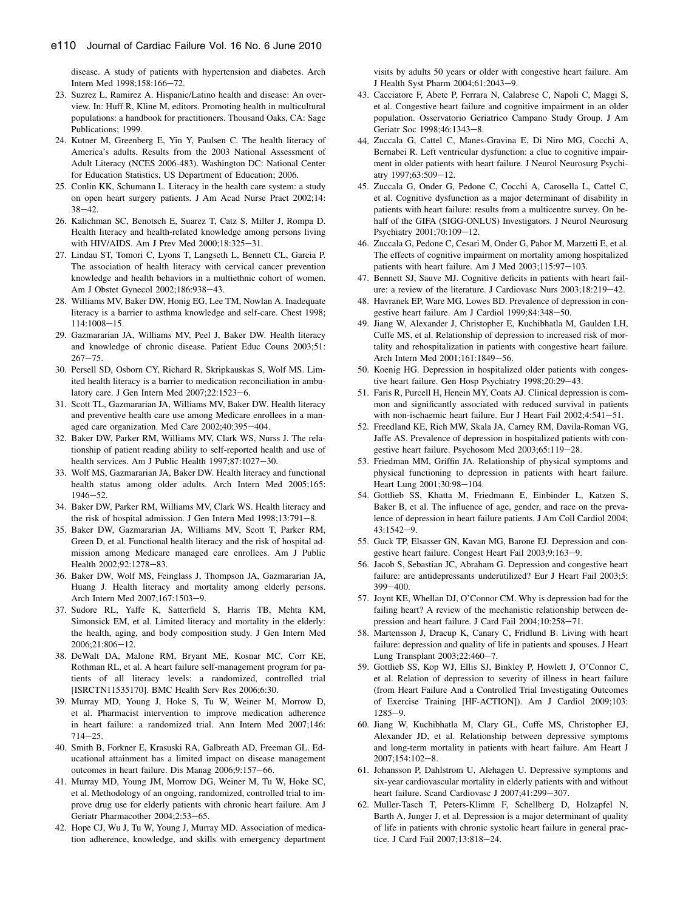<span id="page-12-0"></span>disease. A study of patients with hypertension and diabetes. Arch Intern Med 1998;158:166-72.

- 23. Suzrez L, Ramirez A. Hispanic/Latino health and disease: An overview. In: Huff R, Kline M, editors. Promoting health in multicultural populations: a handbook for practitioners. Thousand Oaks, CA: Sage Publications; 1999.
- 24. Kutner M, Greenberg E, Yin Y, Paulsen C. The health literacy of America's adults. Results from the 2003 National Assessment of Adult Literacy (NCES 2006-483). Washington DC: National Center for Education Statistics, US Department of Education; 2006.
- 25. Conlin KK, Schumann L. Literacy in the health care system: a study on open heart surgery patients. J Am Acad Nurse Pract 2002;14:  $38 - 42$ .
- 26. Kalichman SC, Benotsch E, Suarez T, Catz S, Miller J, Rompa D. Health literacy and health-related knowledge among persons living with HIV/AIDS. Am J Prev Med 2000;18:325-31.
- 27. Lindau ST, Tomori C, Lyons T, Langseth L, Bennett CL, Garcia P. The association of health literacy with cervical cancer prevention knowledge and health behaviors in a multiethnic cohort of women. Am J Obstet Gynecol 2002;186:938-43.
- 28. Williams MV, Baker DW, Honig EG, Lee TM, Nowlan A. Inadequate literacy is a barrier to asthma knowledge and self-care. Chest 1998; 114:1008-15.
- 29. Gazmararian JA, Williams MV, Peel J, Baker DW. Health literacy and knowledge of chronic disease. Patient Educ Couns 2003;51:  $267 - 75$
- 30. Persell SD, Osborn CY, Richard R, Skripkauskas S, Wolf MS. Limited health literacy is a barrier to medication reconciliation in ambulatory care. J Gen Intern Med 2007;22:1523-6.
- 31. Scott TL, Gazmararian JA, Williams MV, Baker DW. Health literacy and preventive health care use among Medicare enrollees in a managed care organization. Med Care 2002;40:395-404.
- 32. Baker DW, Parker RM, Williams MV, Clark WS, Nurss J. The relationship of patient reading ability to self-reported health and use of health services. Am J Public Health  $1997;87:1027-30$ .
- 33. Wolf MS, Gazmararian JA, Baker DW. Health literacy and functional health status among older adults. Arch Intern Med 2005;165:  $1946 - 52$ .
- 34. Baker DW, Parker RM, Williams MV, Clark WS. Health literacy and the risk of hospital admission. J Gen Intern Med 1998;13:791-8.
- 35. Baker DW, Gazmararian JA, Williams MV, Scott T, Parker RM, Green D, et al. Functional health literacy and the risk of hospital admission among Medicare managed care enrollees. Am J Public Health 2002;92:1278-83.
- 36. Baker DW, Wolf MS, Feinglass J, Thompson JA, Gazmararian JA, Huang J. Health literacy and mortality among elderly persons. Arch Intern Med 2007;167:1503-9.
- 37. Sudore RL, Yaffe K, Satterfield S, Harris TB, Mehta KM, Simonsick EM, et al. Limited literacy and mortality in the elderly: the health, aging, and body composition study. J Gen Intern Med  $2006;21:806 - 12.$
- 38. DeWalt DA, Malone RM, Bryant ME, Kosnar MC, Corr KE, Rothman RL, et al. A heart failure self-management program for patients of all literacy levels: a randomized, controlled trial [ISRCTN11535170]. BMC Health Serv Res 2006;6:30.
- 39. Murray MD, Young J, Hoke S, Tu W, Weiner M, Morrow D, et al. Pharmacist intervention to improve medication adherence in heart failure: a randomized trial. Ann Intern Med 2007;146:  $714 - 25.$
- 40. Smith B, Forkner E, Krasuski RA, Galbreath AD, Freeman GL. Educational attainment has a limited impact on disease management outcomes in heart failure. Dis Manag 2006;9:157-66.
- 41. Murray MD, Young JM, Morrow DG, Weiner M, Tu W, Hoke SC, et al. Methodology of an ongoing, randomized, controlled trial to improve drug use for elderly patients with chronic heart failure. Am J Geriatr Pharmacother 2004;2:53-65.
- 42. Hope CJ, Wu J, Tu W, Young J, Murray MD. Association of medication adherence, knowledge, and skills with emergency department

visits by adults 50 years or older with congestive heart failure. Am J Health Syst Pharm 2004;61:2043-9.

- 43. Cacciatore F, Abete P, Ferrara N, Calabrese C, Napoli C, Maggi S, et al. Congestive heart failure and cognitive impairment in an older population. Osservatorio Geriatrico Campano Study Group. J Am Geriatr Soc 1998;46:1343-8.
- 44. Zuccala G, Cattel C, Manes-Gravina E, Di Niro MG, Cocchi A, Bernabei R. Left ventricular dysfunction: a clue to cognitive impairment in older patients with heart failure. J Neurol Neurosurg Psychiatry 1997;63:509-12.
- 45. Zuccala G, Onder G, Pedone C, Cocchi A, Carosella L, Cattel C, et al. Cognitive dysfunction as a major determinant of disability in patients with heart failure: results from a multicentre survey. On behalf of the GIFA (SIGG-ONLUS) Investigators. J Neurol Neurosurg Psychiatry 2001;70:109-12.
- 46. Zuccala G, Pedone C, Cesari M, Onder G, Pahor M, Marzetti E, et al. The effects of cognitive impairment on mortality among hospitalized patients with heart failure. Am J Med  $2003;115:97-103$ .
- 47. Bennett SJ, Sauve MJ. Cognitive deficits in patients with heart failure: a review of the literature. J Cardiovasc Nurs 2003;18:219-42.
- 48. Havranek EP, Ware MG, Lowes BD. Prevalence of depression in congestive heart failure. Am J Cardiol 1999;84:348-50.
- 49. Jiang W, Alexander J, Christopher E, Kuchibhatla M, Gaulden LH, Cuffe MS, et al. Relationship of depression to increased risk of mortality and rehospitalization in patients with congestive heart failure. Arch Intern Med 2001;161:1849-56.
- 50. Koenig HG. Depression in hospitalized older patients with congestive heart failure. Gen Hosp Psychiatry 1998;20:29-43.
- 51. Faris R, Purcell H, Henein MY, Coats AJ. Clinical depression is common and significantly associated with reduced survival in patients with non-ischaemic heart failure. Eur J Heart Fail 2002;4:541-51.
- 52. Freedland KE, Rich MW, Skala JA, Carney RM, Davila-Roman VG, Jaffe AS. Prevalence of depression in hospitalized patients with congestive heart failure. Psychosom Med 2003;65:119-28.
- 53. Friedman MM, Griffin JA. Relationship of physical symptoms and physical functioning to depression in patients with heart failure. Heart Lung 2001;30:98-104.
- 54. Gottlieb SS, Khatta M, Friedmann E, Einbinder L, Katzen S, Baker B, et al. The influence of age, gender, and race on the prevalence of depression in heart failure patients. J Am Coll Cardiol 2004; 43:1542-9.
- 55. Guck TP, Elsasser GN, Kavan MG, Barone EJ. Depression and congestive heart failure. Congest Heart Fail 2003;9:163-9.
- 56. Jacob S, Sebastian JC, Abraham G. Depression and congestive heart failure: are antidepressants underutilized? Eur J Heart Fail 2003;5:  $399 - 400.$
- 57. Joynt KE, Whellan DJ, O'Connor CM. Why is depression bad for the failing heart? A review of the mechanistic relationship between depression and heart failure. J Card Fail  $2004;10:258-71$ .
- 58. Martensson J, Dracup K, Canary C, Fridlund B. Living with heart failure: depression and quality of life in patients and spouses. J Heart Lung Transplant 2003;22:460-7.
- 59. Gottlieb SS, Kop WJ, Ellis SJ, Binkley P, Howlett J, O'Connor C, et al. Relation of depression to severity of illness in heart failure (from Heart Failure And a Controlled Trial Investigating Outcomes of Exercise Training [HF-ACTION]). Am J Cardiol 2009;103: 1285-9
- 60. Jiang W, Kuchibhatla M, Clary GL, Cuffe MS, Christopher EJ, Alexander JD, et al. Relationship between depressive symptoms and long-term mortality in patients with heart failure. Am Heart J 2007;154:102-8.
- 61. Johansson P, Dahlstrom U, Alehagen U. Depressive symptoms and six-year cardiovascular mortality in elderly patients with and without heart failure. Scand Cardiovasc J 2007;41:299-307.
- 62. Muller-Tasch T, Peters-Klimm F, Schellberg D, Holzapfel N, Barth A, Junger J, et al. Depression is a major determinant of quality of life in patients with chronic systolic heart failure in general practice. J Card Fail 2007;13:818-24.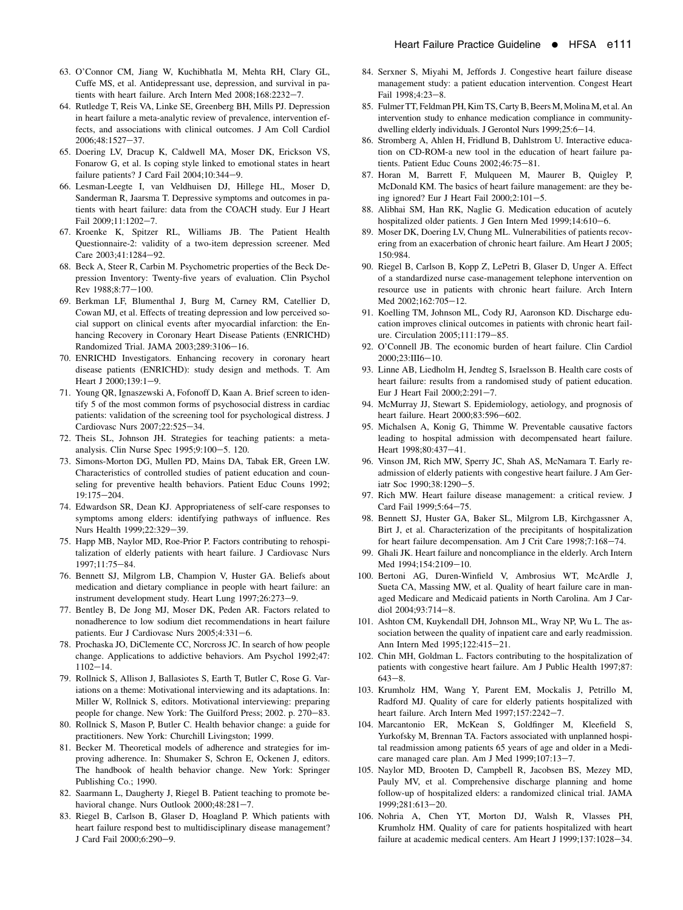- <span id="page-13-0"></span>63. O'Connor CM, Jiang W, Kuchibhatla M, Mehta RH, Clary GL, Cuffe MS, et al. Antidepressant use, depression, and survival in patients with heart failure. Arch Intern Med  $2008;168:2232-7$ .
- 64. Rutledge T, Reis VA, Linke SE, Greenberg BH, Mills PJ. Depression in heart failure a meta-analytic review of prevalence, intervention effects, and associations with clinical outcomes. J Am Coll Cardiol  $2006:48:1527 - 37.$
- 65. Doering LV, Dracup K, Caldwell MA, Moser DK, Erickson VS, Fonarow G, et al. Is coping style linked to emotional states in heart failure patients? J Card Fail  $2004;10:344-9$ .
- 66. Lesman-Leegte I, van Veldhuisen DJ, Hillege HL, Moser D, Sanderman R, Jaarsma T. Depressive symptoms and outcomes in patients with heart failure: data from the COACH study. Eur J Heart Fail 2009:11:1202-7.
- 67. Kroenke K, Spitzer RL, Williams JB. The Patient Health Questionnaire-2: validity of a two-item depression screener. Med Care 2003;41:1284-92.
- 68. Beck A, Steer R, Carbin M. Psychometric properties of the Beck Depression Inventory: Twenty-five years of evaluation. Clin Psychol Rev 1988;8:77-100.
- 69. Berkman LF, Blumenthal J, Burg M, Carney RM, Catellier D, Cowan MJ, et al. Effects of treating depression and low perceived social support on clinical events after myocardial infarction: the Enhancing Recovery in Coronary Heart Disease Patients (ENRICHD) Randomized Trial. JAMA 2003;289:3106-16.
- 70. ENRICHD Investigators. Enhancing recovery in coronary heart disease patients (ENRICHD): study design and methods. T. Am Heart J 2000;139:1-9.
- 71. Young QR, Ignaszewski A, Fofonoff D, Kaan A. Brief screen to identify 5 of the most common forms of psychosocial distress in cardiac patients: validation of the screening tool for psychological distress. J Cardiovasc Nurs 2007;22:525-34.
- 72. Theis SL, Johnson JH. Strategies for teaching patients: a metaanalysis. Clin Nurse Spec 1995;9:100-5. 120.
- 73. Simons-Morton DG, Mullen PD, Mains DA, Tabak ER, Green LW. Characteristics of controlled studies of patient education and counseling for preventive health behaviors. Patient Educ Couns 1992; 19:175-204.
- 74. Edwardson SR, Dean KJ. Appropriateness of self-care responses to symptoms among elders: identifying pathways of influence. Res Nurs Health 1999;22:329-39.
- 75. Happ MB, Naylor MD, Roe-Prior P. Factors contributing to rehospitalization of elderly patients with heart failure. J Cardiovasc Nurs 1997;11:75-84.
- 76. Bennett SJ, Milgrom LB, Champion V, Huster GA. Beliefs about medication and dietary compliance in people with heart failure: an instrument development study. Heart Lung 1997;26:273-9.
- 77. Bentley B, De Jong MJ, Moser DK, Peden AR. Factors related to nonadherence to low sodium diet recommendations in heart failure patients. Eur J Cardiovasc Nurs 2005;4:331-6.
- 78. Prochaska JO, DiClemente CC, Norcross JC. In search of how people change. Applications to addictive behaviors. Am Psychol 1992;47:  $1102 - 14.$
- 79. Rollnick S, Allison J, Ballasiotes S, Earth T, Butler C, Rose G. Variations on a theme: Motivational interviewing and its adaptations. In: Miller W, Rollnick S, editors. Motivational interviewing: preparing people for change. New York: The Guilford Press; 2002. p. 270–83.
- 80. Rollnick S, Mason P, Butler C. Health behavior change: a guide for practitioners. New York: Churchill Livingston; 1999.
- 81. Becker M. Theoretical models of adherence and strategies for improving adherence. In: Shumaker S, Schron E, Ockenen J, editors. The handbook of health behavior change. New York: Springer Publishing Co.; 1990.
- 82. Saarmann L, Daugherty J, Riegel B. Patient teaching to promote behavioral change. Nurs Outlook  $2000;48:281-7$ .
- 83. Riegel B, Carlson B, Glaser D, Hoagland P. Which patients with heart failure respond best to multidisciplinary disease management? J Card Fail 2000;6:290-9.
- 84. Serxner S, Miyahi M, Jeffords J. Congestive heart failure disease management study: a patient education intervention. Congest Heart Fail  $1998:4:23-8$ .
- 85. Fulmer TT, Feldman PH, Kim TS, Carty B, Beers M, Molina M, et al. An intervention study to enhance medication compliance in communitydwelling elderly individuals. J Gerontol Nurs 1999;25:6-14.
- 86. Stromberg A, Ahlen H, Fridlund B, Dahlstrom U. Interactive education on CD-ROM-a new tool in the education of heart failure patients. Patient Educ Couns  $2002;46:75-81$ .
- 87. Horan M, Barrett F, Mulqueen M, Maurer B, Quigley P, McDonald KM. The basics of heart failure management: are they being ignored? Eur J Heart Fail  $2000;2:101-5$ .
- 88. Alibhai SM, Han RK, Naglie G. Medication education of acutely hospitalized older patients. J Gen Intern Med 1999;14:610-6.
- 89. Moser DK, Doering LV, Chung ML. Vulnerabilities of patients recovering from an exacerbation of chronic heart failure. Am Heart J 2005; 150:984.
- 90. Riegel B, Carlson B, Kopp Z, LePetri B, Glaser D, Unger A. Effect of a standardized nurse case-management telephone intervention on resource use in patients with chronic heart failure. Arch Intern Med 2002;162:705-12.
- 91. Koelling TM, Johnson ML, Cody RJ, Aaronson KD. Discharge education improves clinical outcomes in patients with chronic heart failure. Circulation 2005;111:179-85.
- 92. O'Connell JB. The economic burden of heart failure. Clin Cardiol 2000;23:III6-10.
- 93. Linne AB, Liedholm H, Jendteg S, Israelsson B. Health care costs of heart failure: results from a randomised study of patient education. Eur J Heart Fail 2000;2:291-7.
- 94. McMurray JJ, Stewart S. Epidemiology, aetiology, and prognosis of heart failure. Heart 2000;83:596-602.
- 95. Michalsen A, Konig G, Thimme W. Preventable causative factors leading to hospital admission with decompensated heart failure. Heart 1998;80:437-41.
- 96. Vinson JM, Rich MW, Sperry JC, Shah AS, McNamara T. Early readmission of elderly patients with congestive heart failure. J Am Geriatr Soc 1990;38:1290-5.
- 97. Rich MW. Heart failure disease management: a critical review. J Card Fail 1999;5:64-75.
- 98. Bennett SJ, Huster GA, Baker SL, Milgrom LB, Kirchgassner A, Birt J, et al. Characterization of the precipitants of hospitalization for heart failure decompensation. Am J Crit Care 1998;7:168-74.
- 99. Ghali JK. Heart failure and noncompliance in the elderly. Arch Intern Med 1994;154:2109-10.
- 100. Bertoni AG, Duren-Winfield V, Ambrosius WT, McArdle J, Sueta CA, Massing MW, et al. Quality of heart failure care in managed Medicare and Medicaid patients in North Carolina. Am J Cardiol  $2004:93:714-8$ .
- 101. Ashton CM, Kuykendall DH, Johnson ML, Wray NP, Wu L. The association between the quality of inpatient care and early readmission. Ann Intern Med 1995;122:415-21.
- 102. Chin MH, Goldman L. Factors contributing to the hospitalization of patients with congestive heart failure. Am J Public Health 1997;87:  $643 - 8.$
- 103. Krumholz HM, Wang Y, Parent EM, Mockalis J, Petrillo M, Radford MJ. Quality of care for elderly patients hospitalized with heart failure. Arch Intern Med  $1997;157:2242-7$ .
- 104. Marcantonio ER, McKean S, Goldfinger M, Kleefield S, Yurkofsky M, Brennan TA. Factors associated with unplanned hospital readmission among patients 65 years of age and older in a Medicare managed care plan. Am J Med  $1999;107:13-7$ .
- 105. Naylor MD, Brooten D, Campbell R, Jacobsen BS, Mezey MD, Pauly MV, et al. Comprehensive discharge planning and home follow-up of hospitalized elders: a randomized clinical trial. JAMA 1999;281:613-20.
- 106. Nohria A, Chen YT, Morton DJ, Walsh R, Vlasses PH, Krumholz HM. Quality of care for patients hospitalized with heart failure at academic medical centers. Am Heart J 1999;137:1028-34.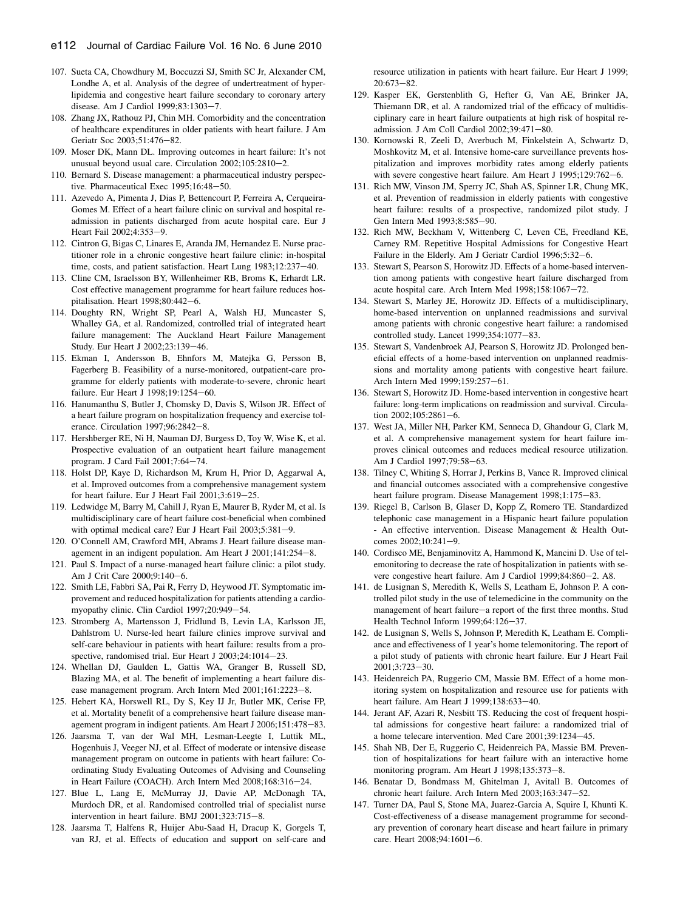- <span id="page-14-0"></span>107. Sueta CA, Chowdhury M, Boccuzzi SJ, Smith SC Jr, Alexander CM, Londhe A, et al. Analysis of the degree of undertreatment of hyperlipidemia and congestive heart failure secondary to coronary artery disease. Am J Cardiol 1999;83:1303-7.
- 108. Zhang JX, Rathouz PJ, Chin MH. Comorbidity and the concentration of healthcare expenditures in older patients with heart failure. J Am Geriatr Soc 2003;51:476-82.
- 109. Moser DK, Mann DL. Improving outcomes in heart failure: It's not unusual beyond usual care. Circulation  $2002;105:2810-2$ .
- 110. Bernard S. Disease management: a pharmaceutical industry perspective. Pharmaceutical Exec  $1995:16:48-50$ .
- 111. Azevedo A, Pimenta J, Dias P, Bettencourt P, Ferreira A, Cerqueira-Gomes M. Effect of a heart failure clinic on survival and hospital readmission in patients discharged from acute hospital care. Eur J Heart Fail 2002;4:353-9.
- 112. Cintron G, Bigas C, Linares E, Aranda JM, Hernandez E. Nurse practitioner role in a chronic congestive heart failure clinic: in-hospital time, costs, and patient satisfaction. Heart Lung 1983;12:237-40.
- 113. Cline CM, Israelsson BY, Willenheimer RB, Broms K, Erhardt LR. Cost effective management programme for heart failure reduces hospitalisation. Heart 1998;80:442-6.
- 114. Doughty RN, Wright SP, Pearl A, Walsh HJ, Muncaster S, Whalley GA, et al. Randomized, controlled trial of integrated heart failure management: The Auckland Heart Failure Management Study. Eur Heart J 2002;23:139-46.
- 115. Ekman I, Andersson B, Ehnfors M, Matejka G, Persson B, Fagerberg B. Feasibility of a nurse-monitored, outpatient-care programme for elderly patients with moderate-to-severe, chronic heart failure. Eur Heart J 1998;19:1254-60.
- 116. Hanumanthu S, Butler J, Chomsky D, Davis S, Wilson JR. Effect of a heart failure program on hospitalization frequency and exercise tolerance. Circulation 1997;96:2842-8.
- 117. Hershberger RE, Ni H, Nauman DJ, Burgess D, Toy W, Wise K, et al. Prospective evaluation of an outpatient heart failure management program. J Card Fail 2001;7:64-74.
- 118. Holst DP, Kaye D, Richardson M, Krum H, Prior D, Aggarwal A, et al. Improved outcomes from a comprehensive management system for heart failure. Eur J Heart Fail 2001;3:619-25.
- 119. Ledwidge M, Barry M, Cahill J, Ryan E, Maurer B, Ryder M, et al. Is multidisciplinary care of heart failure cost-beneficial when combined with optimal medical care? Eur J Heart Fail 2003;5:381-9.
- 120. O'Connell AM, Crawford MH, Abrams J. Heart failure disease management in an indigent population. Am Heart J 2001;141:254-8.
- 121. Paul S. Impact of a nurse-managed heart failure clinic: a pilot study. Am J Crit Care 2000;9:140-6.
- 122. Smith LE, Fabbri SA, Pai R, Ferry D, Heywood JT. Symptomatic improvement and reduced hospitalization for patients attending a cardiomyopathy clinic. Clin Cardiol 1997;20:949-54.
- 123. Stromberg A, Martensson J, Fridlund B, Levin LA, Karlsson JE, Dahlstrom U. Nurse-led heart failure clinics improve survival and self-care behaviour in patients with heart failure: results from a prospective, randomised trial. Eur Heart J 2003;24:1014-23.
- 124. Whellan DJ, Gaulden L, Gattis WA, Granger B, Russell SD, Blazing MA, et al. The benefit of implementing a heart failure disease management program. Arch Intern Med 2001;161:2223-8.
- 125. Hebert KA, Horswell RL, Dy S, Key IJ Jr, Butler MK, Cerise FP, et al. Mortality benefit of a comprehensive heart failure disease management program in indigent patients. Am Heart J 2006;151:478-83.
- 126. Jaarsma T, van der Wal MH, Lesman-Leegte I, Luttik ML, Hogenhuis J, Veeger NJ, et al. Effect of moderate or intensive disease management program on outcome in patients with heart failure: Coordinating Study Evaluating Outcomes of Advising and Counseling in Heart Failure (COACH). Arch Intern Med 2008;168:316-24.
- 127. Blue L, Lang E, McMurray JJ, Davie AP, McDonagh TA, Murdoch DR, et al. Randomised controlled trial of specialist nurse intervention in heart failure. BMJ  $2001;323:715-8$ .
- 128. Jaarsma T, Halfens R, Huijer Abu-Saad H, Dracup K, Gorgels T, van RJ, et al. Effects of education and support on self-care and

resource utilization in patients with heart failure. Eur Heart J 1999;  $20.673 - 82.$ 

- 129. Kasper EK, Gerstenblith G, Hefter G, Van AE, Brinker JA, Thiemann DR, et al. A randomized trial of the efficacy of multidisciplinary care in heart failure outpatients at high risk of hospital readmission. J Am Coll Cardiol 2002;39:471-80.
- 130. Kornowski R, Zeeli D, Averbuch M, Finkelstein A, Schwartz D, Moshkovitz M, et al. Intensive home-care surveillance prevents hospitalization and improves morbidity rates among elderly patients with severe congestive heart failure. Am Heart J 1995;129:762-6.
- 131. Rich MW, Vinson JM, Sperry JC, Shah AS, Spinner LR, Chung MK, et al. Prevention of readmission in elderly patients with congestive heart failure: results of a prospective, randomized pilot study. J Gen Intern Med 1993;8:585-90.
- 132. Rich MW, Beckham V, Wittenberg C, Leven CE, Freedland KE, Carney RM. Repetitive Hospital Admissions for Congestive Heart Failure in the Elderly. Am J Geriatr Cardiol 1996;5:32-6.
- 133. Stewart S, Pearson S, Horowitz JD. Effects of a home-based intervention among patients with congestive heart failure discharged from acute hospital care. Arch Intern Med 1998;158:1067-72.
- 134. Stewart S, Marley JE, Horowitz JD. Effects of a multidisciplinary, home-based intervention on unplanned readmissions and survival among patients with chronic congestive heart failure: a randomised controlled study. Lancet 1999;354:1077-83.
- 135. Stewart S, Vandenbroek AJ, Pearson S, Horowitz JD. Prolonged beneficial effects of a home-based intervention on unplanned readmissions and mortality among patients with congestive heart failure. Arch Intern Med 1999;159:257-61.
- 136. Stewart S, Horowitz JD. Home-based intervention in congestive heart failure: long-term implications on readmission and survival. Circulation 2002;105:2861-6.
- 137. West JA, Miller NH, Parker KM, Senneca D, Ghandour G, Clark M, et al. A comprehensive management system for heart failure improves clinical outcomes and reduces medical resource utilization. Am J Cardiol 1997;79:58-63.
- 138. Tilney C, Whiting S, Horrar J, Perkins B, Vance R. Improved clinical and financial outcomes associated with a comprehensive congestive heart failure program. Disease Management 1998;1:175-83.
- 139. Riegel B, Carlson B, Glaser D, Kopp Z, Romero TE. Standardized telephonic case management in a Hispanic heart failure population - An effective intervention. Disease Management & Health Outcomes  $2002:10:241-9$ .
- 140. Cordisco ME, Benjaminovitz A, Hammond K, Mancini D. Use of telemonitoring to decrease the rate of hospitalization in patients with severe congestive heart failure. Am J Cardiol 1999;84:860-2. A8.
- 141. de Lusignan S, Meredith K, Wells S, Leatham E, Johnson P. A controlled pilot study in the use of telemedicine in the community on the management of heart failure-a report of the first three months. Stud Health Technol Inform  $1999;64:126-37$ .
- 142. de Lusignan S, Wells S, Johnson P, Meredith K, Leatham E. Compliance and effectiveness of 1 year's home telemonitoring. The report of a pilot study of patients with chronic heart failure. Eur J Heart Fail 2001;3:723-30.
- 143. Heidenreich PA, Ruggerio CM, Massie BM. Effect of a home monitoring system on hospitalization and resource use for patients with heart failure. Am Heart J 1999;138:633-40.
- 144. Jerant AF, Azari R, Nesbitt TS. Reducing the cost of frequent hospital admissions for congestive heart failure: a randomized trial of a home telecare intervention. Med Care 2001;39:1234-45.
- 145. Shah NB, Der E, Ruggerio C, Heidenreich PA, Massie BM. Prevention of hospitalizations for heart failure with an interactive home monitoring program. Am Heart J 1998;135:373-8.
- 146. Benatar D, Bondmass M, Ghitelman J, Avitall B. Outcomes of chronic heart failure. Arch Intern Med 2003;163:347-52.
- 147. Turner DA, Paul S, Stone MA, Juarez-Garcia A, Squire I, Khunti K. Cost-effectiveness of a disease management programme for secondary prevention of coronary heart disease and heart failure in primary care. Heart 2008;94:1601-6.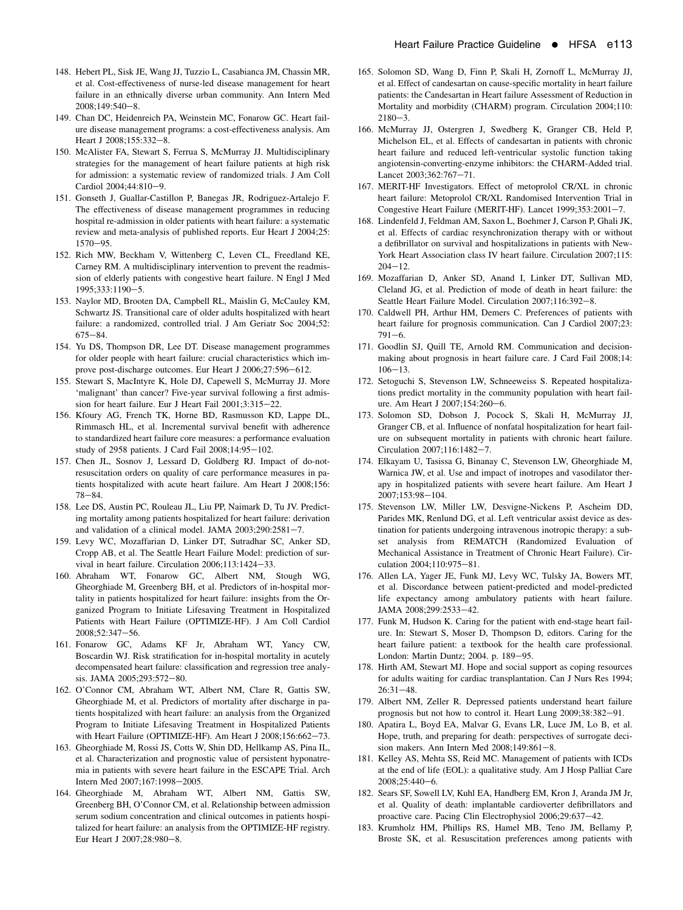- <span id="page-15-0"></span>148. Hebert PL, Sisk JE, Wang JJ, Tuzzio L, Casabianca JM, Chassin MR, et al. Cost-effectiveness of nurse-led disease management for heart failure in an ethnically diverse urban community. Ann Intern Med 2008;149:540-8.
- 149. Chan DC, Heidenreich PA, Weinstein MC, Fonarow GC. Heart failure disease management programs: a cost-effectiveness analysis. Am Heart J 2008;155:332-8.
- 150. McAlister FA, Stewart S, Ferrua S, McMurray JJ. Multidisciplinary strategies for the management of heart failure patients at high risk for admission: a systematic review of randomized trials. J Am Coll Cardiol 2004:44:810-9.
- 151. Gonseth J, Guallar-Castillon P, Banegas JR, Rodriguez-Artalejo F. The effectiveness of disease management programmes in reducing hospital re-admission in older patients with heart failure: a systematic review and meta-analysis of published reports. Eur Heart J 2004;25:  $1570 - 95$ .
- 152. Rich MW, Beckham V, Wittenberg C, Leven CL, Freedland KE, Carney RM. A multidisciplinary intervention to prevent the readmission of elderly patients with congestive heart failure. N Engl J Med 1995;333:1190-5.
- 153. Naylor MD, Brooten DA, Campbell RL, Maislin G, McCauley KM, Schwartz JS. Transitional care of older adults hospitalized with heart failure: a randomized, controlled trial. J Am Geriatr Soc 2004;52:  $675 - 84.$
- 154. Yu DS, Thompson DR, Lee DT. Disease management programmes for older people with heart failure: crucial characteristics which improve post-discharge outcomes. Eur Heart J 2006;27:596-612.
- 155. Stewart S, MacIntyre K, Hole DJ, Capewell S, McMurray JJ. More 'malignant' than cancer? Five-year survival following a first admission for heart failure. Eur J Heart Fail  $2001$ ; $3:315-22$ .
- 156. Kfoury AG, French TK, Horne BD, Rasmusson KD, Lappe DL, Rimmasch HL, et al. Incremental survival benefit with adherence to standardized heart failure core measures: a performance evaluation study of 2958 patients. J Card Fail 2008;14:95-102.
- 157. Chen JL, Sosnov J, Lessard D, Goldberg RJ. Impact of do-notresuscitation orders on quality of care performance measures in patients hospitalized with acute heart failure. Am Heart J 2008;156:  $78 - 84.$
- 158. Lee DS, Austin PC, Rouleau JL, Liu PP, Naimark D, Tu JV. Predicting mortality among patients hospitalized for heart failure: derivation and validation of a clinical model. JAMA  $2003;290:2581-7$ .
- 159. Levy WC, Mozaffarian D, Linker DT, Sutradhar SC, Anker SD, Cropp AB, et al. The Seattle Heart Failure Model: prediction of survival in heart failure. Circulation  $2006;113:1424-33$ .
- 160. Abraham WT, Fonarow GC, Albert NM, Stough WG, Gheorghiade M, Greenberg BH, et al. Predictors of in-hospital mortality in patients hospitalized for heart failure: insights from the Organized Program to Initiate Lifesaving Treatment in Hospitalized Patients with Heart Failure (OPTIMIZE-HF). J Am Coll Cardiol 2008;52:347-56.
- 161. Fonarow GC, Adams KF Jr, Abraham WT, Yancy CW, Boscardin WJ. Risk stratification for in-hospital mortality in acutely decompensated heart failure: classification and regression tree analysis. JAMA 2005;293:572-80.
- 162. O'Connor CM, Abraham WT, Albert NM, Clare R, Gattis SW, Gheorghiade M, et al. Predictors of mortality after discharge in patients hospitalized with heart failure: an analysis from the Organized Program to Initiate Lifesaving Treatment in Hospitalized Patients with Heart Failure (OPTIMIZE-HF). Am Heart J 2008;156:662-73.
- 163. Gheorghiade M, Rossi JS, Cotts W, Shin DD, Hellkamp AS, Pina IL, et al. Characterization and prognostic value of persistent hyponatremia in patients with severe heart failure in the ESCAPE Trial. Arch Intern Med 2007;167:1998-2005.
- 164. Gheorghiade M, Abraham WT, Albert NM, Gattis SW, Greenberg BH, O'Connor CM, et al. Relationship between admission serum sodium concentration and clinical outcomes in patients hospitalized for heart failure: an analysis from the OPTIMIZE-HF registry. Eur Heart J 2007;28:980-8.
- 165. Solomon SD, Wang D, Finn P, Skali H, Zornoff L, McMurray JJ, et al. Effect of candesartan on cause-specific mortality in heart failure patients: the Candesartan in Heart failure Assessment of Reduction in Mortality and morbidity (CHARM) program. Circulation 2004;110:  $2180 - 3$ .
- 166. McMurray JJ, Ostergren J, Swedberg K, Granger CB, Held P, Michelson EL, et al. Effects of candesartan in patients with chronic heart failure and reduced left-ventricular systolic function taking angiotensin-converting-enzyme inhibitors: the CHARM-Added trial. Lancet 2003;362:767-71.
- 167. MERIT-HF Investigators. Effect of metoprolol CR/XL in chronic heart failure: Metoprolol CR/XL Randomised Intervention Trial in Congestive Heart Failure (MERIT-HF). Lancet 1999;353:2001-7.
- 168. Lindenfeld J, Feldman AM, Saxon L, Boehmer J, Carson P, Ghali JK, et al. Effects of cardiac resynchronization therapy with or without a defibrillator on survival and hospitalizations in patients with New-York Heart Association class IV heart failure. Circulation 2007;115:  $204 - 12$ .
- 169. Mozaffarian D, Anker SD, Anand I, Linker DT, Sullivan MD, Cleland JG, et al. Prediction of mode of death in heart failure: the Seattle Heart Failure Model. Circulation 2007;116:392-8.
- 170. Caldwell PH, Arthur HM, Demers C. Preferences of patients with heart failure for prognosis communication. Can J Cardiol 2007;23:  $791 - 6.$
- 171. Goodlin SJ, Quill TE, Arnold RM. Communication and decisionmaking about prognosis in heart failure care. J Card Fail 2008;14:  $106 - 13$ .
- 172. Setoguchi S, Stevenson LW, Schneeweiss S. Repeated hospitalizations predict mortality in the community population with heart failure. Am Heart J 2007;154:260-6.
- 173. Solomon SD, Dobson J, Pocock S, Skali H, McMurray JJ, Granger CB, et al. Influence of nonfatal hospitalization for heart failure on subsequent mortality in patients with chronic heart failure. Circulation 2007;116:1482-7.
- 174. Elkayam U, Tasissa G, Binanay C, Stevenson LW, Gheorghiade M, Warnica JW, et al. Use and impact of inotropes and vasodilator therapy in hospitalized patients with severe heart failure. Am Heart J 2007;153:98-104.
- 175. Stevenson LW, Miller LW, Desvigne-Nickens P, Ascheim DD, Parides MK, Renlund DG, et al. Left ventricular assist device as destination for patients undergoing intravenous inotropic therapy: a subset analysis from REMATCH (Randomized Evaluation of Mechanical Assistance in Treatment of Chronic Heart Failure). Circulation 2004;110:975-81.
- 176. Allen LA, Yager JE, Funk MJ, Levy WC, Tulsky JA, Bowers MT, et al. Discordance between patient-predicted and model-predicted life expectancy among ambulatory patients with heart failure. JAMA 2008;299:2533-42.
- 177. Funk M, Hudson K. Caring for the patient with end-stage heart failure. In: Stewart S, Moser D, Thompson D, editors. Caring for the heart failure patient: a textbook for the health care professional. London: Martin Duntz; 2004. p. 189-95.
- 178. Hirth AM, Stewart MJ. Hope and social support as coping resources for adults waiting for cardiac transplantation. Can J Nurs Res 1994;  $26:31-48$ .
- 179. Albert NM, Zeller R. Depressed patients understand heart failure prognosis but not how to control it. Heart Lung 2009;38:382-91.
- 180. Apatira L, Boyd EA, Malvar G, Evans LR, Luce JM, Lo B, et al. Hope, truth, and preparing for death: perspectives of surrogate decision makers. Ann Intern Med  $2008;149:861-8$ .
- 181. Kelley AS, Mehta SS, Reid MC. Management of patients with ICDs at the end of life (EOL): a qualitative study. Am J Hosp Palliat Care 2008;25:440-6.
- 182. Sears SF, Sowell LV, Kuhl EA, Handberg EM, Kron J, Aranda JM Jr, et al. Quality of death: implantable cardioverter defibrillators and proactive care. Pacing Clin Electrophysiol 2006;29:637-42.
- 183. Krumholz HM, Phillips RS, Hamel MB, Teno JM, Bellamy P, Broste SK, et al. Resuscitation preferences among patients with